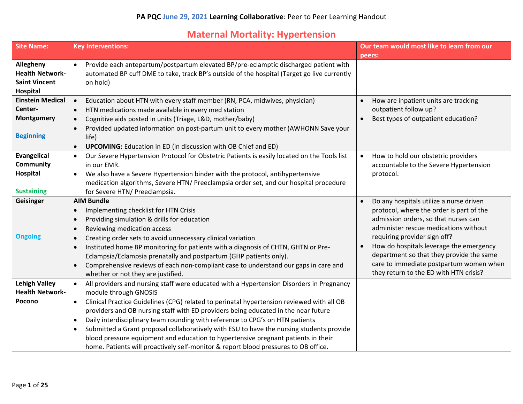### **Maternal Mortality: Hypertension**

| <b>Site Name:</b>                              | <b>Key Interventions:</b>                                                                                                                                                           | Our team would most like to learn from our                                        |
|------------------------------------------------|-------------------------------------------------------------------------------------------------------------------------------------------------------------------------------------|-----------------------------------------------------------------------------------|
|                                                |                                                                                                                                                                                     | peers:                                                                            |
| Allegheny<br><b>Health Network-</b>            | Provide each antepartum/postpartum elevated BP/pre-eclamptic discharged patient with<br>automated BP cuff DME to take, track BP's outside of the hospital (Target go live currently |                                                                                   |
| <b>Saint Vincent</b><br>Hospital               | on hold)                                                                                                                                                                            |                                                                                   |
| <b>Einstein Medical</b><br>Center-             | Education about HTN with every staff member (RN, PCA, midwives, physician)<br>$\bullet$<br>HTN medications made available in every med station<br>$\bullet$                         | How are inpatient units are tracking<br>$\bullet$<br>outpatient follow up?        |
| Montgomery                                     | Cognitive aids posted in units (Triage, L&D, mother/baby)<br>$\bullet$                                                                                                              | Best types of outpatient education?<br>$\bullet$                                  |
|                                                | Provided updated information on post-partum unit to every mother (AWHONN Save your                                                                                                  |                                                                                   |
| <b>Beginning</b>                               | life)                                                                                                                                                                               |                                                                                   |
|                                                | <b>UPCOMING:</b> Education in ED (in discussion with OB Chief and ED)                                                                                                               |                                                                                   |
| <b>Evangelical</b>                             | Our Severe Hypertension Protocol for Obstetric Patients is easily located on the Tools list<br>$\bullet$                                                                            | How to hold our obstetric providers<br>$\bullet$                                  |
| <b>Community</b>                               | in our EMR.                                                                                                                                                                         | accountable to the Severe Hypertension                                            |
| Hospital                                       | We also have a Severe Hypertension binder with the protocol, antihypertensive<br>$\bullet$                                                                                          | protocol.                                                                         |
|                                                | medication algorithms, Severe HTN/ Preeclampsia order set, and our hospital procedure                                                                                               |                                                                                   |
| <b>Sustaining</b>                              | for Severe HTN/ Preeclampsia.                                                                                                                                                       |                                                                                   |
| Geisinger                                      | <b>AIM Bundle</b>                                                                                                                                                                   | Do any hospitals utilize a nurse driven<br>$\bullet$                              |
|                                                | Implementing checklist for HTN Crisis<br>$\bullet$                                                                                                                                  | protocol, where the order is part of the                                          |
|                                                | Providing simulation & drills for education<br>$\bullet$                                                                                                                            | admission orders, so that nurses can                                              |
|                                                | Reviewing medication access<br>$\bullet$                                                                                                                                            | administer rescue medications without                                             |
| <b>Ongoing</b>                                 | Creating order sets to avoid unnecessary clinical variation<br>$\bullet$                                                                                                            | requiring provider sign off?                                                      |
|                                                | Instituted home BP monitoring for patients with a diagnosis of CHTN, GHTN or Pre-<br>$\bullet$                                                                                      | How do hospitals leverage the emergency<br>$\bullet$                              |
|                                                | Eclampsia/Eclampsia prenatally and postpartum (GHP patients only).                                                                                                                  | department so that they provide the same                                          |
|                                                | Comprehensive reviews of each non-compliant case to understand our gaps in care and                                                                                                 | care to immediate postpartum women when<br>they return to the ED with HTN crisis? |
|                                                | whether or not they are justified.                                                                                                                                                  |                                                                                   |
| <b>Lehigh Valley</b><br><b>Health Network-</b> | All providers and nursing staff were educated with a Hypertension Disorders in Pregnancy                                                                                            |                                                                                   |
| Pocono                                         | module through GNOSIS                                                                                                                                                               |                                                                                   |
|                                                | Clinical Practice Guidelines (CPG) related to perinatal hypertension reviewed with all OB<br>$\bullet$                                                                              |                                                                                   |
|                                                | providers and OB nursing staff with ED providers being educated in the near future<br>Daily interdisciplinary team rounding with reference to CPG's on HTN patients<br>$\bullet$    |                                                                                   |
|                                                | Submitted a Grant proposal collaboratively with ESU to have the nursing students provide                                                                                            |                                                                                   |
|                                                | $\bullet$<br>blood pressure equipment and education to hypertensive pregnant patients in their                                                                                      |                                                                                   |
|                                                | home. Patients will proactively self-monitor & report blood pressures to OB office.                                                                                                 |                                                                                   |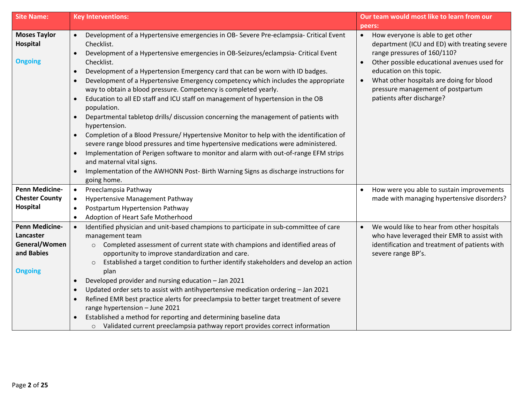| <b>Site Name:</b>                                                                   | <b>Key Interventions:</b>                                                                                                                                                                                                                                                                                                                                                                                                                                                                                                                                                                                                                                                                                                                                                                                                                                                                                                                                                                                                                                                                                                               | Our team would most like to learn from our                                                                                                                                                                                                                                                                                          |
|-------------------------------------------------------------------------------------|-----------------------------------------------------------------------------------------------------------------------------------------------------------------------------------------------------------------------------------------------------------------------------------------------------------------------------------------------------------------------------------------------------------------------------------------------------------------------------------------------------------------------------------------------------------------------------------------------------------------------------------------------------------------------------------------------------------------------------------------------------------------------------------------------------------------------------------------------------------------------------------------------------------------------------------------------------------------------------------------------------------------------------------------------------------------------------------------------------------------------------------------|-------------------------------------------------------------------------------------------------------------------------------------------------------------------------------------------------------------------------------------------------------------------------------------------------------------------------------------|
|                                                                                     |                                                                                                                                                                                                                                                                                                                                                                                                                                                                                                                                                                                                                                                                                                                                                                                                                                                                                                                                                                                                                                                                                                                                         | peers:                                                                                                                                                                                                                                                                                                                              |
| <b>Moses Taylor</b><br>Hospital<br><b>Ongoing</b>                                   | Development of a Hypertensive emergencies in OB- Severe Pre-eclampsia- Critical Event<br>Checklist.<br>Development of a Hypertensive emergencies in OB-Seizures/eclampsia- Critical Event<br>Checklist.<br>Development of a Hypertension Emergency card that can be worn with ID badges.<br>$\bullet$<br>Development of a Hypertensive Emergency competency which includes the appropriate<br>$\bullet$<br>way to obtain a blood pressure. Competency is completed yearly.<br>Education to all ED staff and ICU staff on management of hypertension in the OB<br>$\bullet$<br>population.<br>Departmental tabletop drills/ discussion concerning the management of patients with<br>hypertension.<br>Completion of a Blood Pressure/ Hypertensive Monitor to help with the identification of<br>severe range blood pressures and time hypertensive medications were administered.<br>Implementation of Perigen software to monitor and alarm with out-of-range EFM strips<br>$\bullet$<br>and maternal vital signs.<br>Implementation of the AWHONN Post- Birth Warning Signs as discharge instructions for<br>$\bullet$<br>going home. | How everyone is able to get other<br>$\bullet$<br>department (ICU and ED) with treating severe<br>range pressures of 160/110?<br>Other possible educational avenues used for<br>education on this topic.<br>What other hospitals are doing for blood<br>$\bullet$<br>pressure management of postpartum<br>patients after discharge? |
| <b>Penn Medicine-</b><br><b>Chester County</b><br><b>Hospital</b>                   | Preeclampsia Pathway<br>$\bullet$<br>Hypertensive Management Pathway<br>$\bullet$<br>Postpartum Hypertension Pathway<br>$\bullet$<br>Adoption of Heart Safe Motherhood<br>$\bullet$                                                                                                                                                                                                                                                                                                                                                                                                                                                                                                                                                                                                                                                                                                                                                                                                                                                                                                                                                     | How were you able to sustain improvements<br>$\bullet$<br>made with managing hypertensive disorders?                                                                                                                                                                                                                                |
| <b>Penn Medicine-</b><br>Lancaster<br>General/Women<br>and Babies<br><b>Ongoing</b> | Identified physician and unit-based champions to participate in sub-committee of care<br>$\bullet$<br>management team<br>Completed assessment of current state with champions and identified areas of<br>$\circ$<br>opportunity to improve standardization and care.<br>Established a target condition to further identify stakeholders and develop an action<br>$\circ$<br>plan<br>Developed provider and nursing education - Jan 2021<br>$\bullet$<br>Updated order sets to assist with antihypertensive medication ordering - Jan 2021<br>$\bullet$<br>Refined EMR best practice alerts for preeclampsia to better target treatment of severe<br>$\bullet$<br>range hypertension - June 2021<br>Established a method for reporting and determining baseline data<br>o Validated current preeclampsia pathway report provides correct information                                                                                                                                                                                                                                                                                     | We would like to hear from other hospitals<br>$\bullet$<br>who have leveraged their EMR to assist with<br>identification and treatment of patients with<br>severe range BP's.                                                                                                                                                       |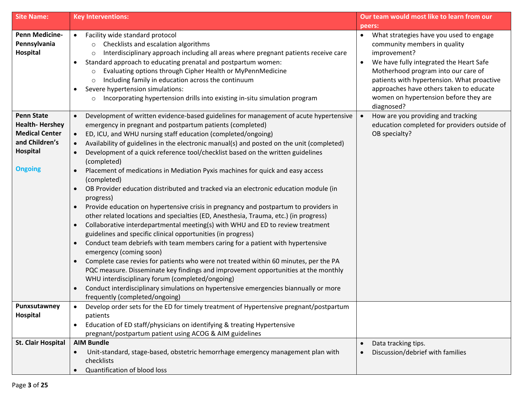| <b>Site Name:</b>                                                                                                   | <b>Key Interventions:</b>                                                                                                                                                                                                                                                                                                                                                                                                                                                                                                                                                                                                                                                                                                                                                                                                                                                                                                                                                                                                                                                                                                                                                                                                                                                                                                                                                                                                                                                                          | Our team would most like to learn from our                                                                                                                                                                                                                                                                                             |
|---------------------------------------------------------------------------------------------------------------------|----------------------------------------------------------------------------------------------------------------------------------------------------------------------------------------------------------------------------------------------------------------------------------------------------------------------------------------------------------------------------------------------------------------------------------------------------------------------------------------------------------------------------------------------------------------------------------------------------------------------------------------------------------------------------------------------------------------------------------------------------------------------------------------------------------------------------------------------------------------------------------------------------------------------------------------------------------------------------------------------------------------------------------------------------------------------------------------------------------------------------------------------------------------------------------------------------------------------------------------------------------------------------------------------------------------------------------------------------------------------------------------------------------------------------------------------------------------------------------------------------|----------------------------------------------------------------------------------------------------------------------------------------------------------------------------------------------------------------------------------------------------------------------------------------------------------------------------------------|
|                                                                                                                     |                                                                                                                                                                                                                                                                                                                                                                                                                                                                                                                                                                                                                                                                                                                                                                                                                                                                                                                                                                                                                                                                                                                                                                                                                                                                                                                                                                                                                                                                                                    | peers:                                                                                                                                                                                                                                                                                                                                 |
| <b>Penn Medicine-</b><br>Pennsylvania<br>Hospital                                                                   | Facility wide standard protocol<br>$\bullet$<br>Checklists and escalation algorithms<br>$\circ$<br>Interdisciplinary approach including all areas where pregnant patients receive care<br>$\circ$<br>Standard approach to educating prenatal and postpartum women:<br>Evaluating options through Cipher Health or MyPennMedicine<br>$\circ$<br>Including family in education across the continuum<br>$\circ$<br>Severe hypertension simulations:<br>$\bullet$<br>Incorporating hypertension drills into existing in-situ simulation program<br>$\circ$                                                                                                                                                                                                                                                                                                                                                                                                                                                                                                                                                                                                                                                                                                                                                                                                                                                                                                                                             | What strategies have you used to engage<br>$\bullet$<br>community members in quality<br>improvement?<br>We have fully integrated the Heart Safe<br>Motherhood program into our care of<br>patients with hypertension. What proactive<br>approaches have others taken to educate<br>women on hypertension before they are<br>diagnosed? |
| <b>Penn State</b><br><b>Health-Hershey</b><br><b>Medical Center</b><br>and Children's<br>Hospital<br><b>Ongoing</b> | Development of written evidence-based guidelines for management of acute hypertensive<br>emergency in pregnant and postpartum patients (completed)<br>ED, ICU, and WHU nursing staff education (completed/ongoing)<br>Availability of guidelines in the electronic manual(s) and posted on the unit (completed)<br>Development of a quick reference tool/checklist based on the written guidelines<br>$\bullet$<br>(completed)<br>Placement of medications in Mediation Pyxis machines for quick and easy access<br>(completed)<br>OB Provider education distributed and tracked via an electronic education module (in<br>progress)<br>Provide education on hypertensive crisis in pregnancy and postpartum to providers in<br>$\bullet$<br>other related locations and specialties (ED, Anesthesia, Trauma, etc.) (in progress)<br>Collaborative interdepartmental meeting(s) with WHU and ED to review treatment<br>$\bullet$<br>guidelines and specific clinical opportunities (in progress)<br>Conduct team debriefs with team members caring for a patient with hypertensive<br>$\bullet$<br>emergency (coming soon)<br>Complete case revies for patients who were not treated within 60 minutes, per the PA<br>$\bullet$<br>PQC measure. Disseminate key findings and improvement opportunities at the monthly<br>WHU interdisciplinary forum (completed/ongoing)<br>Conduct interdisciplinary simulations on hypertensive emergencies biannually or more<br>frequently (completed/ongoing) | How are you providing and tracking<br>$\bullet$<br>education completed for providers outside of<br>OB specialty?                                                                                                                                                                                                                       |
| Punxsutawney                                                                                                        | Develop order sets for the ED for timely treatment of Hypertensive pregnant/postpartum                                                                                                                                                                                                                                                                                                                                                                                                                                                                                                                                                                                                                                                                                                                                                                                                                                                                                                                                                                                                                                                                                                                                                                                                                                                                                                                                                                                                             |                                                                                                                                                                                                                                                                                                                                        |
| Hospital                                                                                                            | patients                                                                                                                                                                                                                                                                                                                                                                                                                                                                                                                                                                                                                                                                                                                                                                                                                                                                                                                                                                                                                                                                                                                                                                                                                                                                                                                                                                                                                                                                                           |                                                                                                                                                                                                                                                                                                                                        |
|                                                                                                                     | Education of ED staff/physicians on identifying & treating Hypertensive                                                                                                                                                                                                                                                                                                                                                                                                                                                                                                                                                                                                                                                                                                                                                                                                                                                                                                                                                                                                                                                                                                                                                                                                                                                                                                                                                                                                                            |                                                                                                                                                                                                                                                                                                                                        |
| <b>St. Clair Hospital</b>                                                                                           | pregnant/postpartum patient using ACOG & AIM guidelines<br><b>AIM Bundle</b>                                                                                                                                                                                                                                                                                                                                                                                                                                                                                                                                                                                                                                                                                                                                                                                                                                                                                                                                                                                                                                                                                                                                                                                                                                                                                                                                                                                                                       |                                                                                                                                                                                                                                                                                                                                        |
|                                                                                                                     | Unit-standard, stage-based, obstetric hemorrhage emergency management plan with<br>checklists<br>Quantification of blood loss                                                                                                                                                                                                                                                                                                                                                                                                                                                                                                                                                                                                                                                                                                                                                                                                                                                                                                                                                                                                                                                                                                                                                                                                                                                                                                                                                                      | Data tracking tips.<br>Discussion/debrief with families                                                                                                                                                                                                                                                                                |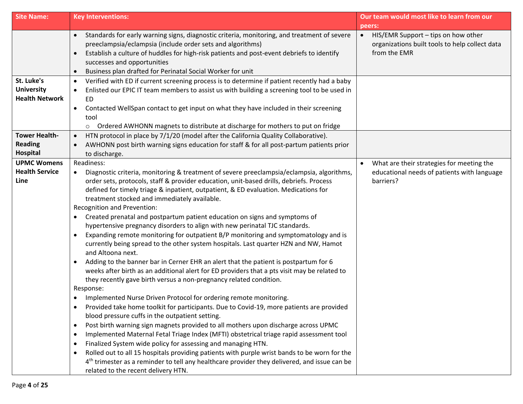| <b>Site Name:</b>                                        | <b>Key Interventions:</b>                                                                                                                                                                                                                                                                                                                                                                                                                                                                                                                                                                                                                                                                                                                                                                                                                                                                                                                                                                                                                                                                                                                                                                                                                                                                                                                                                                                                                                                                                                                                                                                                                                                                                                                                                                                                                            | Our team would most like to learn from our                                                                         |
|----------------------------------------------------------|------------------------------------------------------------------------------------------------------------------------------------------------------------------------------------------------------------------------------------------------------------------------------------------------------------------------------------------------------------------------------------------------------------------------------------------------------------------------------------------------------------------------------------------------------------------------------------------------------------------------------------------------------------------------------------------------------------------------------------------------------------------------------------------------------------------------------------------------------------------------------------------------------------------------------------------------------------------------------------------------------------------------------------------------------------------------------------------------------------------------------------------------------------------------------------------------------------------------------------------------------------------------------------------------------------------------------------------------------------------------------------------------------------------------------------------------------------------------------------------------------------------------------------------------------------------------------------------------------------------------------------------------------------------------------------------------------------------------------------------------------------------------------------------------------------------------------------------------------|--------------------------------------------------------------------------------------------------------------------|
|                                                          |                                                                                                                                                                                                                                                                                                                                                                                                                                                                                                                                                                                                                                                                                                                                                                                                                                                                                                                                                                                                                                                                                                                                                                                                                                                                                                                                                                                                                                                                                                                                                                                                                                                                                                                                                                                                                                                      | peers:                                                                                                             |
|                                                          | Standards for early warning signs, diagnostic criteria, monitoring, and treatment of severe<br>$\bullet$<br>preeclampsia/eclampsia (include order sets and algorithms)<br>Establish a culture of huddles for high-risk patients and post-event debriefs to identify<br>$\bullet$<br>successes and opportunities<br>Business plan drafted for Perinatal Social Worker for unit<br>$\bullet$                                                                                                                                                                                                                                                                                                                                                                                                                                                                                                                                                                                                                                                                                                                                                                                                                                                                                                                                                                                                                                                                                                                                                                                                                                                                                                                                                                                                                                                           | HIS/EMR Support - tips on how other<br>$\bullet$<br>organizations built tools to help collect data<br>from the EMR |
| St. Luke's<br><b>University</b><br><b>Health Network</b> | Verified with ED if current screening process is to determine if patient recently had a baby<br>$\bullet$<br>Enlisted our EPIC IT team members to assist us with building a screening tool to be used in<br>$\bullet$<br><b>ED</b><br>Contacted WellSpan contact to get input on what they have included in their screening<br>$\bullet$<br>tool<br>Ordered AWHONN magnets to distribute at discharge for mothers to put on fridge<br>$\circ$                                                                                                                                                                                                                                                                                                                                                                                                                                                                                                                                                                                                                                                                                                                                                                                                                                                                                                                                                                                                                                                                                                                                                                                                                                                                                                                                                                                                        |                                                                                                                    |
| <b>Tower Health-</b><br><b>Reading</b><br>Hospital       | HTN protocol in place by 7/1/20 (model after the California Quality Collaborative).<br>$\bullet$<br>AWHONN post birth warning signs education for staff & for all post-partum patients prior<br>to discharge.                                                                                                                                                                                                                                                                                                                                                                                                                                                                                                                                                                                                                                                                                                                                                                                                                                                                                                                                                                                                                                                                                                                                                                                                                                                                                                                                                                                                                                                                                                                                                                                                                                        |                                                                                                                    |
| <b>UPMC Womens</b><br><b>Health Service</b><br>Line      | Readiness:<br>Diagnostic criteria, monitoring & treatment of severe preeclampsia/eclampsia, algorithms,<br>order sets, protocols, staff & provider education, unit-based drills, debriefs. Process<br>defined for timely triage & inpatient, outpatient, & ED evaluation. Medications for<br>treatment stocked and immediately available.<br>Recognition and Prevention:<br>Created prenatal and postpartum patient education on signs and symptoms of<br>$\bullet$<br>hypertensive pregnancy disorders to align with new perinatal TJC standards.<br>Expanding remote monitoring for outpatient B/P monitoring and symptomatology and is<br>$\bullet$<br>currently being spread to the other system hospitals. Last quarter HZN and NW, Hamot<br>and Altoona next.<br>Adding to the banner bar in Cerner EHR an alert that the patient is postpartum for 6<br>$\bullet$<br>weeks after birth as an additional alert for ED providers that a pts visit may be related to<br>they recently gave birth versus a non-pregnancy related condition.<br>Response:<br>Implemented Nurse Driven Protocol for ordering remote monitoring.<br>$\bullet$<br>Provided take home toolkit for participants. Due to Covid-19, more patients are provided<br>blood pressure cuffs in the outpatient setting.<br>Post birth warning sign magnets provided to all mothers upon discharge across UPMC<br>$\bullet$<br>Implemented Maternal Fetal Triage Index (MFTI) obstetrical triage rapid assessment tool<br>$\bullet$<br>Finalized System wide policy for assessing and managing HTN.<br>$\bullet$<br>Rolled out to all 15 hospitals providing patients with purple wrist bands to be worn for the<br>$\bullet$<br>4 <sup>th</sup> trimester as a reminder to tell any healthcare provider they delivered, and issue can be<br>related to the recent delivery HTN. | What are their strategies for meeting the<br>$\bullet$<br>educational needs of patients with language<br>barriers? |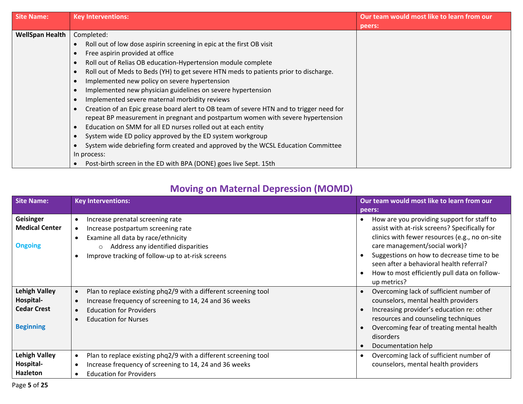| <b>Site Name:</b>      | <b>Key Interventions:</b>                                                                            | Our team would most like to learn from our |
|------------------------|------------------------------------------------------------------------------------------------------|--------------------------------------------|
|                        |                                                                                                      | peers:                                     |
| <b>WellSpan Health</b> | Completed:                                                                                           |                                            |
|                        | Roll out of low dose aspirin screening in epic at the first OB visit<br>$\bullet$                    |                                            |
|                        | Free aspirin provided at office<br>$\bullet$                                                         |                                            |
|                        | Roll out of Relias OB education-Hypertension module complete<br>$\bullet$                            |                                            |
|                        | Roll out of Meds to Beds (YH) to get severe HTN meds to patients prior to discharge.<br>$\bullet$    |                                            |
|                        | Implemented new policy on severe hypertension<br>$\bullet$                                           |                                            |
|                        | Implemented new physician guidelines on severe hypertension<br>$\bullet$                             |                                            |
|                        | Implemented severe maternal morbidity reviews<br>$\bullet$                                           |                                            |
|                        | Creation of an Epic grease board alert to OB team of severe HTN and to trigger need for<br>$\bullet$ |                                            |
|                        | repeat BP measurement in pregnant and postpartum women with severe hypertension                      |                                            |
|                        | Education on SMM for all ED nurses rolled out at each entity<br>$\bullet$                            |                                            |
|                        | System wide ED policy approved by the ED system workgroup<br>$\bullet$                               |                                            |
|                        | System wide debriefing form created and approved by the WCSL Education Committee<br>$\bullet$        |                                            |
|                        | In process:                                                                                          |                                            |
|                        | Post-birth screen in the ED with BPA (DONE) goes live Sept. 15th<br>$\bullet$                        |                                            |

# **Moving on Maternal Depression (MOMD)**

| <b>Site Name:</b>                                                           | <b>Key Interventions:</b>                                                                                                                                                                                         | Our team would most like to learn from our<br>peers:                                                                                                                                                                                                                                                                                                                          |
|-----------------------------------------------------------------------------|-------------------------------------------------------------------------------------------------------------------------------------------------------------------------------------------------------------------|-------------------------------------------------------------------------------------------------------------------------------------------------------------------------------------------------------------------------------------------------------------------------------------------------------------------------------------------------------------------------------|
| Geisinger<br><b>Medical Center</b><br><b>Ongoing</b>                        | Increase prenatal screening rate<br>Increase postpartum screening rate<br>Examine all data by race/ethnicity<br>Address any identified disparities<br>$\circ$<br>Improve tracking of follow-up to at-risk screens | How are you providing support for staff to<br>$\bullet$<br>assist with at-risk screens? Specifically for<br>clinics with fewer resources (e.g., no on-site<br>care management/social work)?<br>Suggestions on how to decrease time to be<br>$\bullet$<br>seen after a behavioral health referral?<br>How to most efficiently pull data on follow-<br>$\bullet$<br>up metrics? |
| <b>Lehigh Valley</b><br>Hospital-<br><b>Cedar Crest</b><br><b>Beginning</b> | Plan to replace existing phq2/9 with a different screening tool<br>Increase frequency of screening to 14, 24 and 36 weeks<br><b>Education for Providers</b><br><b>Education for Nurses</b>                        | Overcoming lack of sufficient number of<br>$\bullet$<br>counselors, mental health providers<br>Increasing provider's education re: other<br>$\bullet$<br>resources and counseling techniques<br>Overcoming fear of treating mental health<br>disorders<br>Documentation help<br>$\bullet$                                                                                     |
| <b>Lehigh Valley</b><br>Hospital-<br><b>Hazleton</b>                        | Plan to replace existing phq2/9 with a different screening tool<br>Increase frequency of screening to 14, 24 and 36 weeks<br><b>Education for Providers</b>                                                       | Overcoming lack of sufficient number of<br>$\bullet$<br>counselors, mental health providers                                                                                                                                                                                                                                                                                   |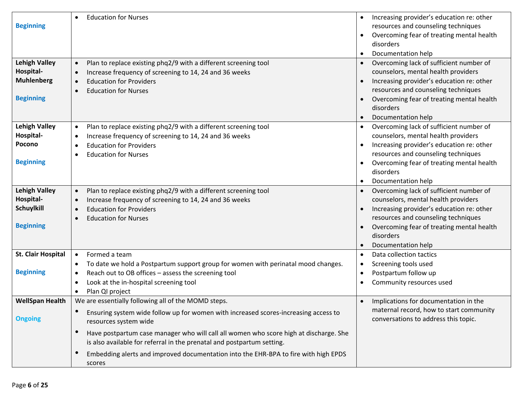| <b>Beginning</b><br><b>Lehigh Valley</b><br>Hospital-<br><b>Muhlenberg</b><br><b>Beginning</b> | <b>Education for Nurses</b><br>$\bullet$<br>Plan to replace existing phq2/9 with a different screening tool<br>$\bullet$<br>Increase frequency of screening to 14, 24 and 36 weeks<br>$\bullet$<br><b>Education for Providers</b><br>$\bullet$<br><b>Education for Nurses</b><br>$\bullet$                                                                                                                 | Increasing provider's education re: other<br>$\bullet$<br>resources and counseling techniques<br>Overcoming fear of treating mental health<br>disorders<br>Documentation help<br>$\bullet$<br>Overcoming lack of sufficient number of<br>$\bullet$<br>counselors, mental health providers<br>Increasing provider's education re: other<br>$\bullet$<br>resources and counseling techniques<br>Overcoming fear of treating mental health<br>disorders |
|------------------------------------------------------------------------------------------------|------------------------------------------------------------------------------------------------------------------------------------------------------------------------------------------------------------------------------------------------------------------------------------------------------------------------------------------------------------------------------------------------------------|------------------------------------------------------------------------------------------------------------------------------------------------------------------------------------------------------------------------------------------------------------------------------------------------------------------------------------------------------------------------------------------------------------------------------------------------------|
|                                                                                                |                                                                                                                                                                                                                                                                                                                                                                                                            | Documentation help                                                                                                                                                                                                                                                                                                                                                                                                                                   |
| <b>Lehigh Valley</b><br>Hospital-<br>Pocono<br><b>Beginning</b>                                | Plan to replace existing phq2/9 with a different screening tool<br>$\bullet$<br>Increase frequency of screening to 14, 24 and 36 weeks<br>$\bullet$<br><b>Education for Providers</b><br>$\bullet$<br><b>Education for Nurses</b><br>$\bullet$                                                                                                                                                             | Overcoming lack of sufficient number of<br>counselors, mental health providers<br>Increasing provider's education re: other<br>resources and counseling techniques<br>Overcoming fear of treating mental health<br>disorders<br>Documentation help                                                                                                                                                                                                   |
| <b>Lehigh Valley</b><br>Hospital-<br>Schuylkill<br><b>Beginning</b>                            | Plan to replace existing phq2/9 with a different screening tool<br>$\bullet$<br>Increase frequency of screening to 14, 24 and 36 weeks<br>$\bullet$<br><b>Education for Providers</b><br>$\bullet$<br><b>Education for Nurses</b><br>$\bullet$                                                                                                                                                             | Overcoming lack of sufficient number of<br>$\bullet$<br>counselors, mental health providers<br>Increasing provider's education re: other<br>resources and counseling techniques<br>Overcoming fear of treating mental health<br>disorders<br>Documentation help<br>$\bullet$                                                                                                                                                                         |
| <b>St. Clair Hospital</b><br><b>Beginning</b>                                                  | Formed a team<br>$\bullet$<br>To date we hold a Postpartum support group for women with perinatal mood changes.<br>$\bullet$<br>Reach out to OB offices - assess the screening tool<br>$\bullet$<br>Look at the in-hospital screening tool<br>$\bullet$<br>Plan QI project<br>$\bullet$                                                                                                                    | Data collection tactics<br>$\bullet$<br>Screening tools used<br>$\bullet$<br>Postpartum follow up<br>٠<br>Community resources used<br>$\bullet$                                                                                                                                                                                                                                                                                                      |
| <b>WellSpan Health</b>                                                                         | We are essentially following all of the MOMD steps.                                                                                                                                                                                                                                                                                                                                                        | Implications for documentation in the<br>$\bullet$                                                                                                                                                                                                                                                                                                                                                                                                   |
| <b>Ongoing</b>                                                                                 | Ensuring system wide follow up for women with increased scores-increasing access to<br>resources system wide<br>$\bullet$<br>Have postpartum case manager who will call all women who score high at discharge. She<br>is also available for referral in the prenatal and postpartum setting.<br>Embedding alerts and improved documentation into the EHR-BPA to fire with high EPDS<br>$\bullet$<br>scores | maternal record, how to start community<br>conversations to address this topic.                                                                                                                                                                                                                                                                                                                                                                      |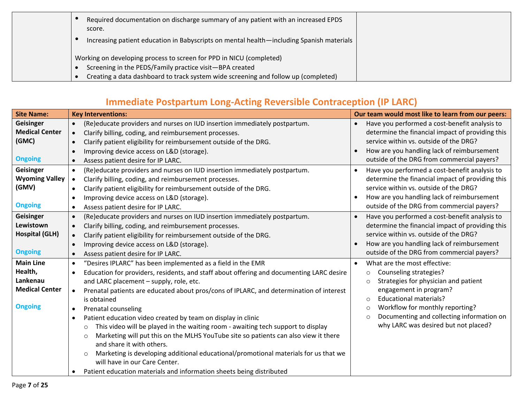| Required documentation on discharge summary of any patient with an increased EPDS<br>score.<br>Increasing patient education in Babyscripts on mental health—including Spanish materials                              |
|----------------------------------------------------------------------------------------------------------------------------------------------------------------------------------------------------------------------|
| Working on developing process to screen for PPD in NICU (completed)<br>Screening in the PEDS/Family practice visit-BPA created<br>Creating a data dashboard to track system wide screening and follow up (completed) |

## **Immediate Postpartum Long-Acting Reversible Contraception (IP LARC)**

| <b>Site Name:</b>     | <b>Key Interventions:</b>                                                                             | Our team would most like to learn from our peers:          |
|-----------------------|-------------------------------------------------------------------------------------------------------|------------------------------------------------------------|
| Geisinger             | (Re)educate providers and nurses on IUD insertion immediately postpartum.<br>$\bullet$                | Have you performed a cost-benefit analysis to<br>$\bullet$ |
| <b>Medical Center</b> | Clarify billing, coding, and reimbursement processes.<br>$\bullet$                                    | determine the financial impact of providing this           |
| (GMC)                 | Clarify patient eligibility for reimbursement outside of the DRG.<br>$\bullet$                        | service within vs. outside of the DRG?                     |
|                       | Improving device access on L&D (storage).                                                             | How are you handling lack of reimbursement                 |
| <b>Ongoing</b>        | Assess patient desire for IP LARC.                                                                    | outside of the DRG from commercial payers?                 |
| <b>Geisinger</b>      | (Re)educate providers and nurses on IUD insertion immediately postpartum.<br>$\bullet$                | Have you performed a cost-benefit analysis to              |
| <b>Wyoming Valley</b> | Clarify billing, coding, and reimbursement processes.<br>$\bullet$                                    | determine the financial impact of providing this           |
| (GMV)                 | Clarify patient eligibility for reimbursement outside of the DRG.<br>$\bullet$                        | service within vs. outside of the DRG?                     |
|                       | Improving device access on L&D (storage).                                                             | How are you handling lack of reimbursement                 |
| <b>Ongoing</b>        | Assess patient desire for IP LARC.<br>$\bullet$                                                       | outside of the DRG from commercial payers?                 |
| Geisinger             | (Re)educate providers and nurses on IUD insertion immediately postpartum.<br>$\bullet$                | Have you performed a cost-benefit analysis to<br>$\bullet$ |
| Lewistown             | Clarify billing, coding, and reimbursement processes.<br>$\bullet$                                    | determine the financial impact of providing this           |
| <b>Hospital (GLH)</b> | Clarify patient eligibility for reimbursement outside of the DRG.<br>$\bullet$                        | service within vs. outside of the DRG?                     |
|                       | Improving device access on L&D (storage).<br>$\bullet$                                                | How are you handling lack of reimbursement                 |
| <b>Ongoing</b>        | Assess patient desire for IP LARC.<br>$\bullet$                                                       | outside of the DRG from commercial payers?                 |
| <b>Main Line</b>      | "Desires IPLARC" has been implemented as a field in the EMR<br>$\bullet$                              | What are the most effective:                               |
| Health,               | Education for providers, residents, and staff about offering and documenting LARC desire<br>$\bullet$ | Counseling strategies?<br>$\circ$                          |
| Lankenau              | and LARC placement - supply, role, etc.                                                               | Strategies for physician and patient<br>$\circ$            |
| <b>Medical Center</b> | Prenatal patients are educated about pros/cons of IPLARC, and determination of interest<br>$\bullet$  | engagement in program?                                     |
|                       | is obtained                                                                                           | <b>Educational materials?</b><br>$\bigcirc$                |
| <b>Ongoing</b>        | Prenatal counseling<br>$\bullet$                                                                      | Workflow for monthly reporting?<br>$\circ$                 |
|                       | Patient education video created by team on display in clinic<br>$\bullet$                             | Documenting and collecting information on<br>$\circ$       |
|                       | This video will be played in the waiting room - awaiting tech support to display<br>$\circ$           | why LARC was desired but not placed?                       |
|                       | Marketing will put this on the MLHS YouTube site so patients can also view it there<br>$\circ$        |                                                            |
|                       | and share it with others.                                                                             |                                                            |
|                       | Marketing is developing additional educational/promotional materials for us that we<br>$\circ$        |                                                            |
|                       | will have in our Care Center.                                                                         |                                                            |
|                       | Patient education materials and information sheets being distributed                                  |                                                            |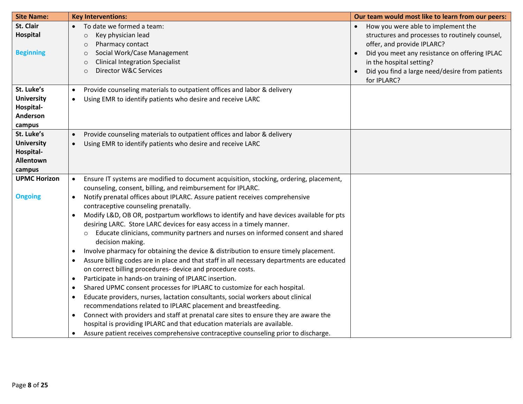| <b>Site Name:</b>   | <b>Key Interventions:</b>                                                                                       | Our team would most like to learn from our peers: |
|---------------------|-----------------------------------------------------------------------------------------------------------------|---------------------------------------------------|
| St. Clair           | To date we formed a team:                                                                                       | How you were able to implement the                |
| Hospital            | Key physician lead<br>$\circ$                                                                                   | structures and processes to routinely counsel,    |
|                     | Pharmacy contact<br>$\circ$                                                                                     | offer, and provide IPLARC?                        |
| <b>Beginning</b>    | Social Work/Case Management<br>$\circ$                                                                          | Did you meet any resistance on offering IPLAC     |
|                     | <b>Clinical Integration Specialist</b>                                                                          | in the hospital setting?                          |
|                     | Director W&C Services<br>$\circ$                                                                                | Did you find a large need/desire from patients    |
|                     |                                                                                                                 | for IPLARC?                                       |
| St. Luke's          | Provide counseling materials to outpatient offices and labor & delivery<br>$\bullet$                            |                                                   |
| <b>University</b>   | Using EMR to identify patients who desire and receive LARC<br>$\bullet$                                         |                                                   |
| Hospital-           |                                                                                                                 |                                                   |
| Anderson            |                                                                                                                 |                                                   |
| campus              |                                                                                                                 |                                                   |
| St. Luke's          | Provide counseling materials to outpatient offices and labor & delivery<br>$\bullet$                            |                                                   |
| <b>University</b>   | Using EMR to identify patients who desire and receive LARC                                                      |                                                   |
| Hospital-           |                                                                                                                 |                                                   |
| Allentown           |                                                                                                                 |                                                   |
| campus              |                                                                                                                 |                                                   |
| <b>UPMC Horizon</b> | Ensure IT systems are modified to document acquisition, stocking, ordering, placement,<br>$\bullet$             |                                                   |
|                     | counseling, consent, billing, and reimbursement for IPLARC.                                                     |                                                   |
| <b>Ongoing</b>      | Notify prenatal offices about IPLARC. Assure patient receives comprehensive<br>$\bullet$                        |                                                   |
|                     | contraceptive counseling prenatally.                                                                            |                                                   |
|                     | Modify L&D, OB OR, postpartum workflows to identify and have devices available for pts                          |                                                   |
|                     | desiring LARC. Store LARC devices for easy access in a timely manner.                                           |                                                   |
|                     | Educate clinicians, community partners and nurses on informed consent and shared<br>$\circ$<br>decision making. |                                                   |
|                     | Involve pharmacy for obtaining the device & distribution to ensure timely placement.                            |                                                   |
|                     | Assure billing codes are in place and that staff in all necessary departments are educated<br>$\bullet$         |                                                   |
|                     | on correct billing procedures- device and procedure costs.                                                      |                                                   |
|                     | Participate in hands-on training of IPLARC insertion.<br>$\bullet$                                              |                                                   |
|                     | Shared UPMC consent processes for IPLARC to customize for each hospital.<br>٠                                   |                                                   |
|                     | Educate providers, nurses, lactation consultants, social workers about clinical<br>$\bullet$                    |                                                   |
|                     | recommendations related to IPLARC placement and breastfeeding.                                                  |                                                   |
|                     | Connect with providers and staff at prenatal care sites to ensure they are aware the<br>$\bullet$               |                                                   |
|                     | hospital is providing IPLARC and that education materials are available.                                        |                                                   |
|                     | Assure patient receives comprehensive contraceptive counseling prior to discharge.<br>٠                         |                                                   |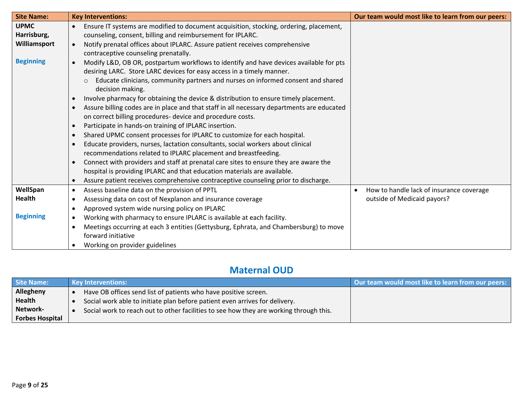| <b>Site Name:</b> | <b>Key Interventions:</b>                                                                           | Our team would most like to learn from our peers:     |
|-------------------|-----------------------------------------------------------------------------------------------------|-------------------------------------------------------|
| <b>UPMC</b>       | Ensure IT systems are modified to document acquisition, stocking, ordering, placement,<br>$\bullet$ |                                                       |
| Harrisburg,       | counseling, consent, billing and reimbursement for IPLARC.                                          |                                                       |
| Williamsport      | Notify prenatal offices about IPLARC. Assure patient receives comprehensive<br>$\bullet$            |                                                       |
|                   | contraceptive counseling prenatally.                                                                |                                                       |
| <b>Beginning</b>  | Modify L&D, OB OR, postpartum workflows to identify and have devices available for pts              |                                                       |
|                   | desiring LARC. Store LARC devices for easy access in a timely manner.                               |                                                       |
|                   | Educate clinicians, community partners and nurses on informed consent and shared                    |                                                       |
|                   | decision making.                                                                                    |                                                       |
|                   | Involve pharmacy for obtaining the device & distribution to ensure timely placement.                |                                                       |
|                   | Assure billing codes are in place and that staff in all necessary departments are educated          |                                                       |
|                   | on correct billing procedures- device and procedure costs.                                          |                                                       |
|                   | Participate in hands-on training of IPLARC insertion.<br>$\bullet$                                  |                                                       |
|                   | Shared UPMC consent processes for IPLARC to customize for each hospital.                            |                                                       |
|                   | Educate providers, nurses, lactation consultants, social workers about clinical                     |                                                       |
|                   | recommendations related to IPLARC placement and breastfeeding.                                      |                                                       |
|                   | Connect with providers and staff at prenatal care sites to ensure they are aware the<br>$\bullet$   |                                                       |
|                   | hospital is providing IPLARC and that education materials are available.                            |                                                       |
|                   | Assure patient receives comprehensive contraceptive counseling prior to discharge.                  |                                                       |
| WellSpan          | Assess baseline data on the provision of PPTL<br>$\bullet$                                          | How to handle lack of insurance coverage<br>$\bullet$ |
| Health            | Assessing data on cost of Nexplanon and insurance coverage                                          | outside of Medicaid payors?                           |
|                   | Approved system wide nursing policy on IPLARC                                                       |                                                       |
| <b>Beginning</b>  | Working with pharmacy to ensure IPLARC is available at each facility.<br>$\bullet$                  |                                                       |
|                   | Meetings occurring at each 3 entities (Gettysburg, Ephrata, and Chambersburg) to move               |                                                       |
|                   | forward initiative                                                                                  |                                                       |
|                   | Working on provider guidelines                                                                      |                                                       |

#### **Maternal OUD**

| <b>Site Name:</b>      | <b>Key Interventions:</b>                                                              | Our team would most like to learn from our peers: |
|------------------------|----------------------------------------------------------------------------------------|---------------------------------------------------|
| Allegheny              | Have OB offices send list of patients who have positive screen.                        |                                                   |
| <b>Health</b>          | Social work able to initiate plan before patient even arrives for delivery.            |                                                   |
| Network-               | Social work to reach out to other facilities to see how they are working through this. |                                                   |
| <b>Forbes Hospital</b> |                                                                                        |                                                   |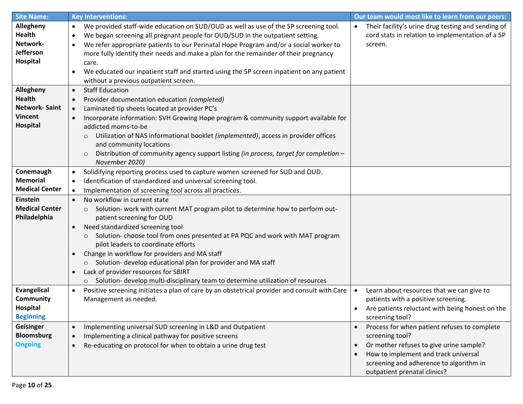| <b>Site Name:</b>     | <b>Key Interventions:</b>                                                                                 | Our team would most like to learn from our peers:      |
|-----------------------|-----------------------------------------------------------------------------------------------------------|--------------------------------------------------------|
| Allegheny             | We provided staff-wide education on SUD/OUD as well as use of the 5P screening tool.<br>$\bullet$         | Their facility's urine drug testing and sending of     |
| <b>Health</b>         | We began screening all pregnant people for OUD/SUD in the outpatient setting.                             | cord stats in relation to implementation of a 5P       |
| Network-              | We refer appropriate patients to our Perinatal Hope Program and/or a social worker to                     | screen.                                                |
| <b>Jefferson</b>      | more fully identify their needs and make a plan for the remainder of their pregnancy                      |                                                        |
| Hospital              | care.                                                                                                     |                                                        |
|                       | We educated our inpatient staff and started using the 5P screen inpatient on any patient                  |                                                        |
|                       | without a previous outpatient screen.                                                                     |                                                        |
| Allegheny             | <b>Staff Education</b><br>$\bullet$                                                                       |                                                        |
| <b>Health</b>         | Provider documentation education (completed)<br>$\bullet$                                                 |                                                        |
| <b>Network-Saint</b>  | Laminated tip sheets located at provider PC's                                                             |                                                        |
| <b>Vincent</b>        | Incorporate information: SVH Growing Hope program & community support available for                       |                                                        |
| <b>Hospital</b>       | addicted moms-to-be                                                                                       |                                                        |
|                       | Utilization of NAS informational booklet (implemented), access in provider offices<br>$\circ$             |                                                        |
|                       | and community locations                                                                                   |                                                        |
|                       | Distribution of community agency support listing (in process, target for completion -<br>$\circ$          |                                                        |
|                       | November 2020)                                                                                            |                                                        |
| Conemaugh             | Solidifying reporting process used to capture women screened for SUD and OUD.                             |                                                        |
| <b>Memorial</b>       | Identification of standardized and universal screening tool.<br>$\bullet$                                 |                                                        |
| <b>Medical Center</b> | Implementation of screening tool across all practices.                                                    |                                                        |
| <b>Einstein</b>       | No workflow in current state<br>$\bullet$                                                                 |                                                        |
| <b>Medical Center</b> | Solution- work with current MAT program pilot to determine how to perform out-<br>$\circ$                 |                                                        |
| Philadelphia          | patient screening for OUD                                                                                 |                                                        |
|                       | Need standardized screening tool                                                                          |                                                        |
|                       | Solution- choose tool from ones presented at PA PQC and work with MAT program<br>$\circ$                  |                                                        |
|                       | pilot leaders to coordinate efforts                                                                       |                                                        |
|                       | Change in workflow for providers and MA staff<br>$\bullet$                                                |                                                        |
|                       | Solution- develop educational plan for provider and MA staff<br>$\circ$                                   |                                                        |
|                       | Lack of provider resources for SBIRT                                                                      |                                                        |
|                       | Solution- develop multi-disciplinary team to determine utilization of resources<br>$\circ$                |                                                        |
| <b>Evangelical</b>    | Positive screening initiates a plan of care by an obstetrical provider and consult with Care<br>$\bullet$ | Learn about resources that we can give to<br>$\bullet$ |
| <b>Community</b>      | Management as needed.                                                                                     | patients with a positive screening.                    |
| Hospital              |                                                                                                           | Are patients reluctant with being honest on the        |
| <b>Beginning</b>      |                                                                                                           | screening tool?                                        |
| Geisinger             | Implementing universal SUD screening in L&D and Outpatient<br>$\bullet$                                   | Process for when patient refuses to complete           |
| <b>Bloomsburg</b>     | Implementing a clinical pathway for positive screens                                                      | screening tool?                                        |
| <b>Ongoing</b>        | Re-educating on protocol for when to obtain a urine drug test<br>$\bullet$                                | Or mother refuses to give urine sample?<br>$\bullet$   |
|                       |                                                                                                           | How to implement and track universal                   |
|                       |                                                                                                           | screening and adherence to algorithm in                |
|                       |                                                                                                           | outpatient prenatal clinics?                           |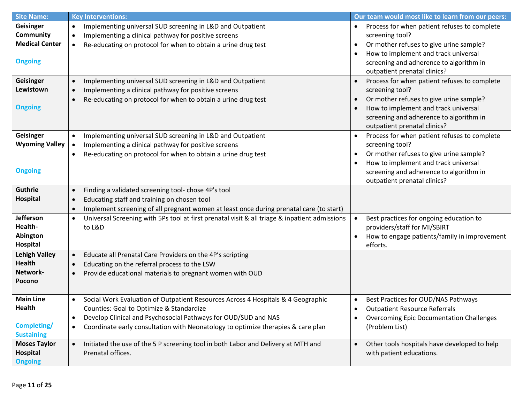| <b>Site Name:</b>          | <b>Key Interventions:</b>                                                                                           | Our team would most like to learn from our peers:            |
|----------------------------|---------------------------------------------------------------------------------------------------------------------|--------------------------------------------------------------|
| Geisinger                  | Implementing universal SUD screening in L&D and Outpatient<br>$\bullet$                                             | Process for when patient refuses to complete<br>$\bullet$    |
| Community                  | Implementing a clinical pathway for positive screens<br>$\bullet$                                                   | screening tool?                                              |
| <b>Medical Center</b>      | Re-educating on protocol for when to obtain a urine drug test<br>$\bullet$                                          | Or mother refuses to give urine sample?<br>$\bullet$         |
|                            |                                                                                                                     | How to implement and track universal<br>$\bullet$            |
| <b>Ongoing</b>             |                                                                                                                     | screening and adherence to algorithm in                      |
|                            |                                                                                                                     | outpatient prenatal clinics?                                 |
| Geisinger                  | Implementing universal SUD screening in L&D and Outpatient                                                          | Process for when patient refuses to complete                 |
| Lewistown                  | Implementing a clinical pathway for positive screens                                                                | screening tool?                                              |
|                            | Re-educating on protocol for when to obtain a urine drug test                                                       | Or mother refuses to give urine sample?                      |
| <b>Ongoing</b>             |                                                                                                                     | How to implement and track universal                         |
|                            |                                                                                                                     | screening and adherence to algorithm in                      |
|                            |                                                                                                                     | outpatient prenatal clinics?                                 |
| Geisinger                  | Implementing universal SUD screening in L&D and Outpatient<br>$\bullet$                                             | Process for when patient refuses to complete<br>$\bullet$    |
| <b>Wyoming Valley</b>      | Implementing a clinical pathway for positive screens                                                                | screening tool?                                              |
|                            | Re-educating on protocol for when to obtain a urine drug test                                                       | Or mother refuses to give urine sample?                      |
|                            |                                                                                                                     | How to implement and track universal<br>$\bullet$            |
| <b>Ongoing</b>             |                                                                                                                     | screening and adherence to algorithm in                      |
|                            |                                                                                                                     | outpatient prenatal clinics?                                 |
| Guthrie                    | Finding a validated screening tool- chose 4P's tool                                                                 |                                                              |
| Hospital                   | Educating staff and training on chosen tool                                                                         |                                                              |
|                            | Implement screening of all pregnant women at least once during prenatal care (to start)                             |                                                              |
| Jefferson                  | Universal Screening with 5Ps tool at first prenatal visit & all triage & inpatient admissions<br>$\bullet$          | Best practices for ongoing education to<br>$\bullet$         |
| Health-                    | to L&D                                                                                                              | providers/staff for MI/SBIRT                                 |
| Abington                   |                                                                                                                     | How to engage patients/family in improvement<br>$\bullet$    |
| Hospital                   |                                                                                                                     | efforts.                                                     |
| <b>Lehigh Valley</b>       | Educate all Prenatal Care Providers on the 4P's scripting<br>$\bullet$                                              |                                                              |
| <b>Health</b>              | Educating on the referral process to the LSW                                                                        |                                                              |
| Network-                   | Provide educational materials to pregnant women with OUD                                                            |                                                              |
| Pocono                     |                                                                                                                     |                                                              |
|                            |                                                                                                                     |                                                              |
| <b>Main Line</b>           | Social Work Evaluation of Outpatient Resources Across 4 Hospitals & 4 Geographic<br>$\bullet$                       | Best Practices for OUD/NAS Pathways<br>$\bullet$             |
| <b>Health</b>              | Counties: Goal to Optimize & Standardize                                                                            | <b>Outpatient Resource Referrals</b>                         |
|                            | Develop Clinical and Psychosocial Pathways for OUD/SUD and NAS<br>٠                                                 | <b>Overcoming Epic Documentation Challenges</b><br>$\bullet$ |
| Completing/                | Coordinate early consultation with Neonatology to optimize therapies & care plan<br>$\bullet$                       | (Problem List)                                               |
| <b>Sustaining</b>          |                                                                                                                     |                                                              |
| <b>Moses Taylor</b>        | Initiated the use of the 5 P screening tool in both Labor and Delivery at MTH and<br>$\bullet$<br>Prenatal offices. | Other tools hospitals have developed to help<br>$\bullet$    |
| Hospital<br><b>Ongoing</b> |                                                                                                                     | with patient educations.                                     |
|                            |                                                                                                                     |                                                              |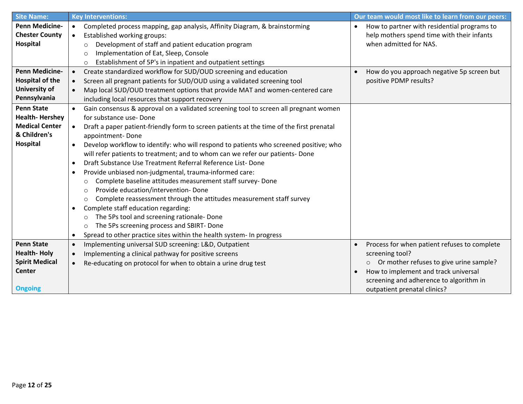| <b>Site Name:</b>      | <b>Key Interventions:</b>                                                                             | Our team would most like to learn from our peers:         |
|------------------------|-------------------------------------------------------------------------------------------------------|-----------------------------------------------------------|
| <b>Penn Medicine-</b>  | Completed process mapping, gap analysis, Affinity Diagram, & brainstorming<br>$\bullet$               | How to partner with residential programs to               |
| <b>Chester County</b>  | <b>Established working groups:</b><br>$\bullet$                                                       | help mothers spend time with their infants                |
| Hospital               | Development of staff and patient education program<br>O                                               | when admitted for NAS.                                    |
|                        | Implementation of Eat, Sleep, Console<br>$\Omega$                                                     |                                                           |
|                        | Establishment of 5P's in inpatient and outpatient settings<br>$\circ$                                 |                                                           |
| <b>Penn Medicine-</b>  | Create standardized workflow for SUD/OUD screening and education<br>$\bullet$                         | How do you approach negative 5p screen but                |
| <b>Hospital of the</b> | Screen all pregnant patients for SUD/OUD using a validated screening tool<br>$\bullet$                | positive PDMP results?                                    |
| University of          | Map local SUD/OUD treatment options that provide MAT and women-centered care<br>$\bullet$             |                                                           |
| Pennsylvania           | including local resources that support recovery                                                       |                                                           |
| <b>Penn State</b>      | Gain consensus & approval on a validated screening tool to screen all pregnant women<br>$\bullet$     |                                                           |
| <b>Health-Hershey</b>  | for substance use-Done                                                                                |                                                           |
| <b>Medical Center</b>  | Draft a paper patient-friendly form to screen patients at the time of the first prenatal<br>$\bullet$ |                                                           |
| & Children's           | appointment-Done                                                                                      |                                                           |
| Hospital               | Develop workflow to identify: who will respond to patients who screened positive; who<br>$\bullet$    |                                                           |
|                        | will refer patients to treatment; and to whom can we refer our patients- Done                         |                                                           |
|                        | Draft Substance Use Treatment Referral Reference List-Done                                            |                                                           |
|                        | Provide unbiased non-judgmental, trauma-informed care:                                                |                                                           |
|                        | Complete baseline attitudes measurement staff survey- Done<br>$\circ$                                 |                                                           |
|                        | Provide education/intervention-Done<br>$\circ$                                                        |                                                           |
|                        | Complete reassessment through the attitudes measurement staff survey<br>$\circ$                       |                                                           |
|                        | Complete staff education regarding:                                                                   |                                                           |
|                        | The 5Ps tool and screening rationale- Done<br>$\circ$                                                 |                                                           |
|                        | The 5Ps screening process and SBIRT- Done<br>$\circ$                                                  |                                                           |
|                        | Spread to other practice sites within the health system- In progress<br>$\bullet$                     |                                                           |
| <b>Penn State</b>      | Implementing universal SUD screening: L&D, Outpatient<br>$\bullet$                                    | Process for when patient refuses to complete<br>$\bullet$ |
| <b>Health-Holy</b>     | Implementing a clinical pathway for positive screens<br>$\bullet$                                     | screening tool?                                           |
| <b>Spirit Medical</b>  | Re-educating on protocol for when to obtain a urine drug test<br>$\bullet$                            | Or mother refuses to give urine sample?<br>$\circ$        |
| <b>Center</b>          |                                                                                                       | How to implement and track universal                      |
|                        |                                                                                                       | screening and adherence to algorithm in                   |
| <b>Ongoing</b>         |                                                                                                       | outpatient prenatal clinics?                              |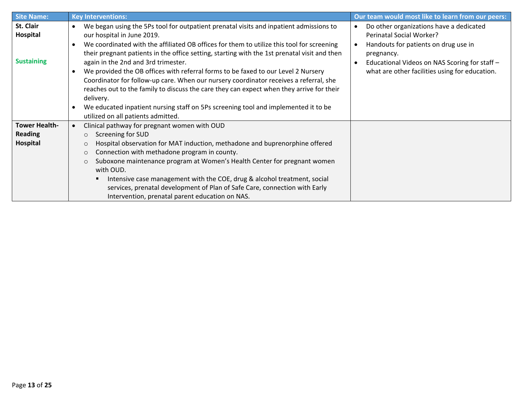| <b>Site Name:</b>                           | <b>Key Interventions:</b>                                                                                                                                                                                                                                                                                                                                                                                                                                                                                                                                                                                                                                                                                                                                                                | Our team would most like to learn from our peers:                                                                                                                                                                                                      |
|---------------------------------------------|------------------------------------------------------------------------------------------------------------------------------------------------------------------------------------------------------------------------------------------------------------------------------------------------------------------------------------------------------------------------------------------------------------------------------------------------------------------------------------------------------------------------------------------------------------------------------------------------------------------------------------------------------------------------------------------------------------------------------------------------------------------------------------------|--------------------------------------------------------------------------------------------------------------------------------------------------------------------------------------------------------------------------------------------------------|
| St. Clair<br>Hospital<br><b>Sustaining</b>  | We began using the 5Ps tool for outpatient prenatal visits and inpatient admissions to<br>$\bullet$<br>our hospital in June 2019.<br>We coordinated with the affiliated OB offices for them to utilize this tool for screening<br>their pregnant patients in the office setting, starting with the 1st prenatal visit and then<br>again in the 2nd and 3rd trimester.<br>We provided the OB offices with referral forms to be faxed to our Level 2 Nursery<br>Coordinator for follow-up care. When our nursery coordinator receives a referral, she<br>reaches out to the family to discuss the care they can expect when they arrive for their<br>delivery.<br>We educated inpatient nursing staff on 5Ps screening tool and implemented it to be<br>utilized on all patients admitted. | Do other organizations have a dedicated<br>$\bullet$<br>Perinatal Social Worker?<br>Handouts for patients on drug use in<br>pregnancy.<br>Educational Videos on NAS Scoring for staff -<br>$\bullet$<br>what are other facilities using for education. |
| Tower Health-<br><b>Reading</b><br>Hospital | Clinical pathway for pregnant women with OUD<br>Screening for SUD<br>$\circ$<br>Hospital observation for MAT induction, methadone and buprenorphine offered<br>O<br>Connection with methadone program in county.<br>$\circ$<br>Suboxone maintenance program at Women's Health Center for pregnant women<br>$\circ$<br>with OUD.<br>Intensive case management with the COE, drug & alcohol treatment, social<br>services, prenatal development of Plan of Safe Care, connection with Early<br>Intervention, prenatal parent education on NAS.                                                                                                                                                                                                                                             |                                                                                                                                                                                                                                                        |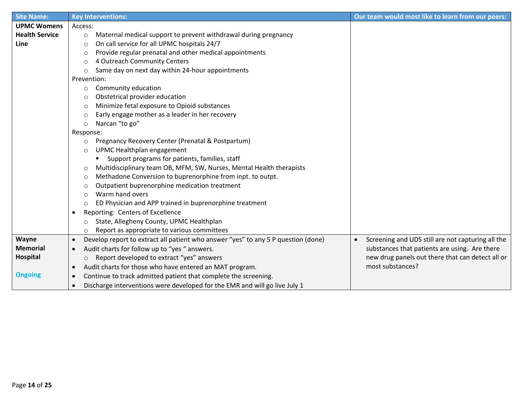| <b>Site Name:</b>     | <b>Key Interventions:</b>                                                                      | Our team would most like to learn from our peers:              |
|-----------------------|------------------------------------------------------------------------------------------------|----------------------------------------------------------------|
| <b>UPMC Womens</b>    | Access:                                                                                        |                                                                |
| <b>Health Service</b> | Maternal medical support to prevent withdrawal during pregnancy<br>$\circ$                     |                                                                |
| Line                  | On call service for all UPMC hospitals 24/7<br>$\circ$                                         |                                                                |
|                       | Provide regular prenatal and other medical appointments<br>$\circ$                             |                                                                |
|                       | 4 Outreach Community Centers<br>O                                                              |                                                                |
|                       | Same day on next day within 24-hour appointments<br>$\circ$                                    |                                                                |
|                       | Prevention:                                                                                    |                                                                |
|                       | Community education<br>$\circ$                                                                 |                                                                |
|                       | Obstetrical provider education<br>$\circ$                                                      |                                                                |
|                       | Minimize fetal exposure to Opioid substances<br>$\circ$                                        |                                                                |
|                       | Early engage mother as a leader in her recovery<br>$\circ$                                     |                                                                |
|                       | Narcan "to go"<br>$\circ$                                                                      |                                                                |
|                       | Response:                                                                                      |                                                                |
|                       | Pregnancy Recovery Center (Prenatal & Postpartum)<br>O                                         |                                                                |
|                       | UPMC Healthplan engagement<br>$\circ$                                                          |                                                                |
|                       | Support programs for patients, families, staff                                                 |                                                                |
|                       | Multidisciplinary team OB, MFM, SW, Nurses, Mental Health therapists<br>O                      |                                                                |
|                       | Methadone Conversion to buprenorphine from inpt. to outpt.<br>$\circ$                          |                                                                |
|                       | Outpatient buprenorphine medication treatment<br>O                                             |                                                                |
|                       | Warm hand overs<br>$\circ$                                                                     |                                                                |
|                       | ED Physician and APP trained in buprenorphine treatment<br>$\circ$                             |                                                                |
|                       | Reporting: Centers of Excellence                                                               |                                                                |
|                       | State, Allegheny County, UPMC Healthplan<br>O                                                  |                                                                |
|                       | Report as appropriate to various committees<br>O                                               |                                                                |
| Wayne                 | Develop report to extract all patient who answer "yes" to any 5 P question (done)<br>$\bullet$ | Screening and UDS still are not capturing all the<br>$\bullet$ |
| <b>Memorial</b>       | Audit charts for follow up to "yes " answers.<br>$\bullet$                                     | substances that patients are using. Are there                  |
| Hospital              | Report developed to extract "yes" answers<br>$\circ$                                           | new drug panels out there that can detect all or               |
|                       | Audit charts for those who have entered an MAT program.<br>$\bullet$                           | most substances?                                               |
| <b>Ongoing</b>        | Continue to track admitted patient that complete the screening.                                |                                                                |
|                       | Discharge interventions were developed for the EMR and will go live July 1<br>$\bullet$        |                                                                |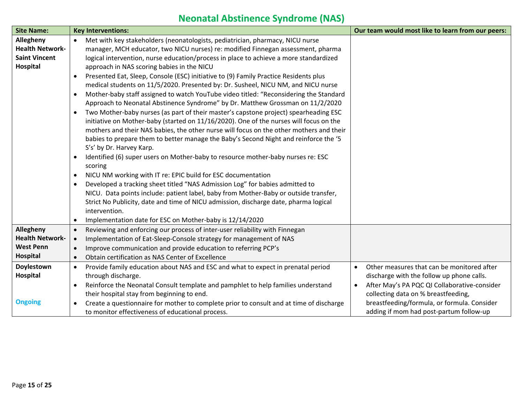# **Neonatal Abstinence Syndrome (NAS)**

| <b>Site Name:</b>      | <b>Key Interventions:</b>                                                                            | Our team would most like to learn from our peers:         |
|------------------------|------------------------------------------------------------------------------------------------------|-----------------------------------------------------------|
| Allegheny              | Met with key stakeholders (neonatologists, pediatrician, pharmacy, NICU nurse<br>$\bullet$           |                                                           |
| <b>Health Network-</b> | manager, MCH educator, two NICU nurses) re: modified Finnegan assessment, pharma                     |                                                           |
| <b>Saint Vincent</b>   | logical intervention, nurse education/process in place to achieve a more standardized                |                                                           |
| <b>Hospital</b>        | approach in NAS scoring babies in the NICU                                                           |                                                           |
|                        | Presented Eat, Sleep, Console (ESC) initiative to (9) Family Practice Residents plus                 |                                                           |
|                        | medical students on 11/5/2020. Presented by: Dr. Susheel, NICU NM, and NICU nurse                    |                                                           |
|                        | Mother-baby staff assigned to watch YouTube video titled: "Reconsidering the Standard<br>$\bullet$   |                                                           |
|                        | Approach to Neonatal Abstinence Syndrome" by Dr. Matthew Grossman on 11/2/2020                       |                                                           |
|                        | Two Mother-baby nurses (as part of their master's capstone project) spearheading ESC<br>$\bullet$    |                                                           |
|                        | initiative on Mother-baby (started on 11/16/2020). One of the nurses will focus on the               |                                                           |
|                        | mothers and their NAS babies, the other nurse will focus on the other mothers and their              |                                                           |
|                        | babies to prepare them to better manage the Baby's Second Night and reinforce the '5                 |                                                           |
|                        | S's' by Dr. Harvey Karp.                                                                             |                                                           |
|                        | Identified (6) super users on Mother-baby to resource mother-baby nurses re: ESC<br>$\bullet$        |                                                           |
|                        | scoring                                                                                              |                                                           |
|                        | NICU NM working with IT re: EPIC build for ESC documentation<br>$\bullet$                            |                                                           |
|                        | Developed a tracking sheet titled "NAS Admission Log" for babies admitted to                         |                                                           |
|                        | NICU. Data points include: patient label, baby from Mother-Baby or outside transfer,                 |                                                           |
|                        | Strict No Publicity, date and time of NICU admission, discharge date, pharma logical                 |                                                           |
|                        | intervention.                                                                                        |                                                           |
|                        | Implementation date for ESC on Mother-baby is 12/14/2020                                             |                                                           |
| Allegheny              | Reviewing and enforcing our process of inter-user reliability with Finnegan<br>$\bullet$             |                                                           |
| <b>Health Network-</b> | Implementation of Eat-Sleep-Console strategy for management of NAS<br>$\bullet$                      |                                                           |
| <b>West Penn</b>       | Improve communication and provide education to referring PCP's<br>$\bullet$                          |                                                           |
| Hospital               | Obtain certification as NAS Center of Excellence                                                     |                                                           |
| Doylestown             | Provide family education about NAS and ESC and what to expect in prenatal period<br>$\bullet$        | Other measures that can be monitored after<br>$\bullet$   |
| Hospital               | through discharge.                                                                                   | discharge with the follow up phone calls.                 |
|                        | Reinforce the Neonatal Consult template and pamphlet to help families understand                     | After May's PA PQC QI Collaborative-consider<br>$\bullet$ |
|                        | their hospital stay from beginning to end.                                                           | collecting data on % breastfeeding,                       |
| <b>Ongoing</b>         | Create a questionnaire for mother to complete prior to consult and at time of discharge<br>$\bullet$ | breastfeeding/formula, or formula. Consider               |
|                        | to monitor effectiveness of educational process.                                                     | adding if mom had post-partum follow-up                   |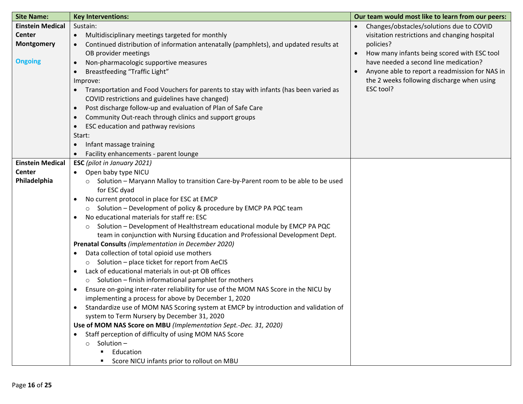| <b>Site Name:</b>       | <b>Key Interventions:</b>                                                                          | Our team would most like to learn from our peers: |
|-------------------------|----------------------------------------------------------------------------------------------------|---------------------------------------------------|
| <b>Einstein Medical</b> | Sustain:                                                                                           | Changes/obstacles/solutions due to COVID          |
| <b>Center</b>           | Multidisciplinary meetings targeted for monthly<br>$\bullet$                                       | visitation restrictions and changing hospital     |
| <b>Montgomery</b>       | Continued distribution of information antenatally (pamphlets), and updated results at              | policies?                                         |
|                         | OB provider meetings                                                                               | How many infants being scored with ESC tool       |
| <b>Ongoing</b>          | Non-pharmacologic supportive measures<br>$\bullet$                                                 | have needed a second line medication?             |
|                         | Breastfeeding "Traffic Light"                                                                      | Anyone able to report a readmission for NAS in    |
|                         | Improve:                                                                                           | the 2 weeks following discharge when using        |
|                         | Transportation and Food Vouchers for parents to stay with infants (has been varied as<br>$\bullet$ | ESC tool?                                         |
|                         | COVID restrictions and guidelines have changed)                                                    |                                                   |
|                         | Post discharge follow-up and evaluation of Plan of Safe Care<br>$\bullet$                          |                                                   |
|                         | Community Out-reach through clinics and support groups<br>$\bullet$                                |                                                   |
|                         | ESC education and pathway revisions<br>$\bullet$                                                   |                                                   |
|                         | Start:                                                                                             |                                                   |
|                         | Infant massage training<br>$\bullet$                                                               |                                                   |
|                         | Facility enhancements - parent lounge                                                              |                                                   |
| <b>Einstein Medical</b> | <b>ESC</b> (pilot in January 2021)                                                                 |                                                   |
| <b>Center</b>           | Open baby type NICU<br>$\bullet$                                                                   |                                                   |
| Philadelphia            | Solution - Maryann Malloy to transition Care-by-Parent room to be able to be used<br>$\circ$       |                                                   |
|                         | for ESC dyad                                                                                       |                                                   |
|                         | No current protocol in place for ESC at EMCP<br>$\bullet$                                          |                                                   |
|                         | Solution - Development of policy & procedure by EMCP PA PQC team<br>$\circ$                        |                                                   |
|                         | No educational materials for staff re: ESC                                                         |                                                   |
|                         | Solution - Development of Healthstream educational module by EMCP PA PQC<br>$\circ$                |                                                   |
|                         | team in conjunction with Nursing Education and Professional Development Dept.                      |                                                   |
|                         | <b>Prenatal Consults</b> (implementation in December 2020)                                         |                                                   |
|                         | Data collection of total opioid use mothers<br>$\bullet$                                           |                                                   |
|                         | o Solution - place ticket for report from AeCIS                                                    |                                                   |
|                         | Lack of educational materials in out-pt OB offices<br>$\bullet$                                    |                                                   |
|                         | Solution - finish informational pamphlet for mothers<br>$\circ$                                    |                                                   |
|                         | Ensure on-going inter-rater reliability for use of the MOM NAS Score in the NICU by                |                                                   |
|                         | implementing a process for above by December 1, 2020                                               |                                                   |
|                         | Standardize use of MOM NAS Scoring system at EMCP by introduction and validation of                |                                                   |
|                         | system to Term Nursery by December 31, 2020                                                        |                                                   |
|                         | Use of MOM NAS Score on MBU (Implementation Sept.-Dec. 31, 2020)                                   |                                                   |
|                         | Staff perception of difficulty of using MOM NAS Score<br>$\bullet$                                 |                                                   |
|                         | $\circ$ Solution –                                                                                 |                                                   |
|                         | Education                                                                                          |                                                   |
|                         | Score NICU infants prior to rollout on MBU                                                         |                                                   |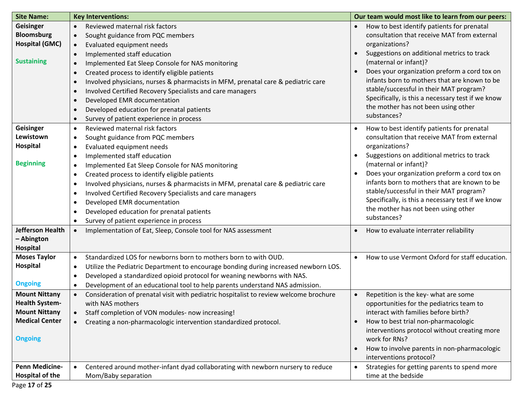| <b>Site Name:</b>       | <b>Key Interventions:</b>                                                                        | Our team would most like to learn from our peers:           |
|-------------------------|--------------------------------------------------------------------------------------------------|-------------------------------------------------------------|
| Geisinger               | Reviewed maternal risk factors<br>$\bullet$                                                      | How to best identify patients for prenatal<br>$\bullet$     |
| <b>Bloomsburg</b>       | Sought guidance from PQC members<br>$\bullet$                                                    | consultation that receive MAT from external                 |
| <b>Hospital (GMC)</b>   | Evaluated equipment needs<br>$\bullet$                                                           | organizations?                                              |
|                         | Implemented staff education<br>$\bullet$                                                         | Suggestions on additional metrics to track<br>$\bullet$     |
| <b>Sustaining</b>       | Implemented Eat Sleep Console for NAS monitoring<br>$\bullet$                                    | (maternal or infant)?                                       |
|                         | Created process to identify eligible patients<br>$\bullet$                                       | Does your organization preform a cord tox on                |
|                         | Involved physicians, nurses & pharmacists in MFM, prenatal care & pediatric care<br>$\bullet$    | infants born to mothers that are known to be                |
|                         | Involved Certified Recovery Specialists and care managers<br>$\bullet$                           | stable/successful in their MAT program?                     |
|                         | Developed EMR documentation<br>$\bullet$                                                         | Specifically, is this a necessary test if we know           |
|                         | Developed education for prenatal patients<br>$\bullet$                                           | the mother has not been using other                         |
|                         | Survey of patient experience in process<br>$\bullet$                                             | substances?                                                 |
| <b>Geisinger</b>        | Reviewed maternal risk factors<br>$\bullet$                                                      | How to best identify patients for prenatal<br>$\bullet$     |
| Lewistown               | Sought guidance from PQC members<br>$\bullet$                                                    | consultation that receive MAT from external                 |
| <b>Hospital</b>         | Evaluated equipment needs<br>$\bullet$                                                           | organizations?                                              |
|                         | Implemented staff education<br>$\bullet$                                                         | Suggestions on additional metrics to track<br>$\bullet$     |
| <b>Beginning</b>        | Implemented Eat Sleep Console for NAS monitoring<br>$\bullet$                                    | (maternal or infant)?                                       |
|                         | Created process to identify eligible patients<br>$\bullet$                                       | Does your organization preform a cord tox on<br>$\bullet$   |
|                         | Involved physicians, nurses & pharmacists in MFM, prenatal care & pediatric care<br>$\bullet$    | infants born to mothers that are known to be                |
|                         | Involved Certified Recovery Specialists and care managers<br>$\bullet$                           | stable/successful in their MAT program?                     |
|                         | Developed EMR documentation<br>$\bullet$                                                         | Specifically, is this a necessary test if we know           |
|                         | Developed education for prenatal patients<br>$\bullet$                                           | the mother has not been using other                         |
|                         | Survey of patient experience in process<br>$\bullet$                                             | substances?                                                 |
| <b>Jefferson Health</b> | Implementation of Eat, Sleep, Console tool for NAS assessment                                    | How to evaluate interrater reliability<br>$\bullet$         |
| - Abington              |                                                                                                  |                                                             |
| <b>Hospital</b>         |                                                                                                  |                                                             |
| <b>Moses Taylor</b>     | Standardized LOS for newborns born to mothers born to with OUD.<br>$\bullet$                     | How to use Vermont Oxford for staff education.<br>$\bullet$ |
| <b>Hospital</b>         | Utilize the Pediatric Department to encourage bonding during increased newborn LOS.<br>$\bullet$ |                                                             |
|                         | Developed a standardized opioid protocol for weaning newborns with NAS.<br>$\bullet$             |                                                             |
| <b>Ongoing</b>          | Development of an educational tool to help parents understand NAS admission.<br>$\bullet$        |                                                             |
| <b>Mount Nittany</b>    | Consideration of prenatal visit with pediatric hospitalist to review welcome brochure            | Repetition is the key- what are some<br>$\bullet$           |
| <b>Health System-</b>   | with NAS mothers                                                                                 | opportunities for the pediatrics team to                    |
| <b>Mount Nittany</b>    | Staff completion of VON modules- now increasing!<br>$\bullet$                                    | interact with families before birth?                        |
| <b>Medical Center</b>   | Creating a non-pharmacologic intervention standardized protocol.                                 | How to best trial non-pharmacologic<br>$\bullet$            |
|                         |                                                                                                  | interventions protocol without creating more                |
| <b>Ongoing</b>          |                                                                                                  | work for RNs?                                               |
|                         |                                                                                                  | How to involve parents in non-pharmacologic                 |
|                         |                                                                                                  | interventions protocol?                                     |
| <b>Penn Medicine-</b>   | Centered around mother-infant dyad collaborating with newborn nursery to reduce                  | Strategies for getting parents to spend more<br>$\bullet$   |
| Hospital of the         | Mom/Baby separation                                                                              | time at the bedside                                         |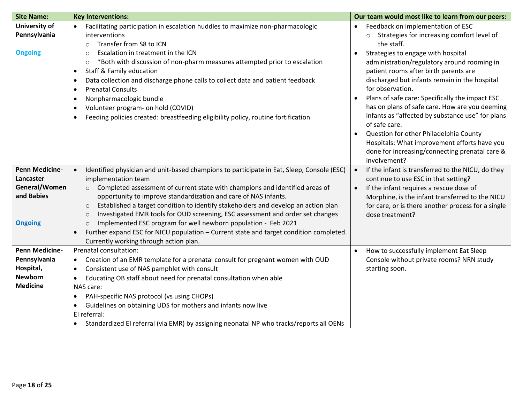| <b>Site Name:</b>                                                                       | <b>Key Interventions:</b>                                                                                                                                                                                                                                                                                                                                                                                                                                                                                                                                                                                                                                                                     | Our team would most like to learn from our peers:                                                                                                                                                                                                                                                                                                                                                                                                                                                                                                                                                                                                                                        |
|-----------------------------------------------------------------------------------------|-----------------------------------------------------------------------------------------------------------------------------------------------------------------------------------------------------------------------------------------------------------------------------------------------------------------------------------------------------------------------------------------------------------------------------------------------------------------------------------------------------------------------------------------------------------------------------------------------------------------------------------------------------------------------------------------------|------------------------------------------------------------------------------------------------------------------------------------------------------------------------------------------------------------------------------------------------------------------------------------------------------------------------------------------------------------------------------------------------------------------------------------------------------------------------------------------------------------------------------------------------------------------------------------------------------------------------------------------------------------------------------------------|
| <b>University of</b><br>Pennsylvania<br><b>Ongoing</b>                                  | Facilitating participation in escalation huddles to maximize non-pharmacologic<br>interventions<br>Transfer from S8 to ICN<br>$\circ$<br>Escalation in treatment in the ICN<br>$\circ$<br>*Both with discussion of non-pharm measures attempted prior to escalation<br>$\circ$<br><b>Staff &amp; Family education</b><br>$\bullet$<br>Data collection and discharge phone calls to collect data and patient feedback<br>$\bullet$<br><b>Prenatal Consults</b><br>$\bullet$<br>Nonpharmacologic bundle<br>$\bullet$<br>Volunteer program- on hold (COVID)<br>$\bullet$<br>Feeding policies created: breastfeeding eligibility policy, routine fortification<br>$\bullet$                       | Feedback on implementation of ESC<br>$\bullet$<br>Strategies for increasing comfort level of<br>$\circ$<br>the staff.<br>Strategies to engage with hospital<br>$\bullet$<br>administration/regulatory around rooming in<br>patient rooms after birth parents are<br>discharged but infants remain in the hospital<br>for observation.<br>Plans of safe care: Specifically the impact ESC<br>$\bullet$<br>has on plans of safe care. How are you deeming<br>infants as "affected by substance use" for plans<br>of safe care.<br>Question for other Philadelphia County<br>Hospitals: What improvement efforts have you<br>done for increasing/connecting prenatal care &<br>involvement? |
| <b>Penn Medicine-</b><br>Lancaster<br>General/Women<br>and Babies<br><b>Ongoing</b>     | Identified physician and unit-based champions to participate in Eat, Sleep, Console (ESC)<br>implementation team<br>Completed assessment of current state with champions and identified areas of<br>$\circ$<br>opportunity to improve standardization and care of NAS infants.<br>Established a target condition to identify stakeholders and develop an action plan<br>$\circ$<br>Investigated EMR tools for OUD screening, ESC assessment and order set changes<br>$\circ$<br>Implemented ESC program for well newborn population - Feb 2021<br>$\circ$<br>Further expand ESC for NICU population - Current state and target condition completed.<br>Currently working through action plan. | If the infant is transferred to the NICU, do they<br>$\bullet$<br>continue to use ESC in that setting?<br>If the infant requires a rescue dose of<br>$\bullet$<br>Morphine, is the infant transferred to the NICU<br>for care, or is there another process for a single<br>dose treatment?                                                                                                                                                                                                                                                                                                                                                                                               |
| <b>Penn Medicine-</b><br>Pennsylvania<br>Hospital,<br><b>Newborn</b><br><b>Medicine</b> | Prenatal consultation:<br>Creation of an EMR template for a prenatal consult for pregnant women with OUD<br>$\bullet$<br>Consistent use of NAS pamphlet with consult<br>$\bullet$<br>Educating OB staff about need for prenatal consultation when able<br>$\bullet$<br>NAS care:<br>PAH-specific NAS protocol (vs using CHOPs)<br>٠<br>Guidelines on obtaining UDS for mothers and infants now live<br>$\bullet$<br>El referral:<br>Standardized EI referral (via EMR) by assigning neonatal NP who tracks/reports all OENs<br>$\bullet$                                                                                                                                                      | How to successfully implement Eat Sleep<br>$\bullet$<br>Console without private rooms? NRN study<br>starting soon.                                                                                                                                                                                                                                                                                                                                                                                                                                                                                                                                                                       |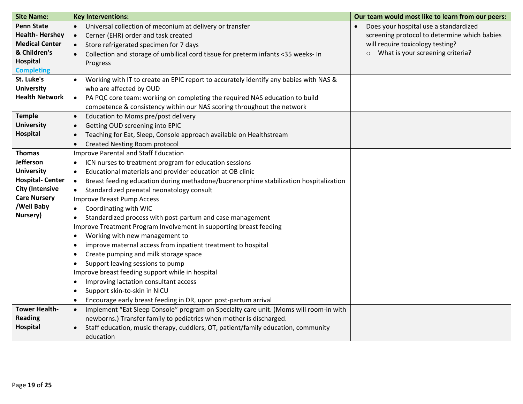| <b>Site Name:</b>      | <b>Key Interventions:</b>                                                                          | Our team would most like to learn from our peers: |
|------------------------|----------------------------------------------------------------------------------------------------|---------------------------------------------------|
| <b>Penn State</b>      | Universal collection of meconium at delivery or transfer<br>$\bullet$                              | Does your hospital use a standardized             |
| <b>Health-Hershey</b>  | Cerner (EHR) order and task created<br>$\bullet$                                                   | screening protocol to determine which babies      |
| <b>Medical Center</b>  | Store refrigerated specimen for 7 days                                                             | will require toxicology testing?                  |
| & Children's           | Collection and storage of umbilical cord tissue for preterm infants <35 weeks- In<br>$\bullet$     | What is your screening criteria?<br>$\circ$       |
| Hospital               | Progress                                                                                           |                                                   |
| <b>Completing</b>      |                                                                                                    |                                                   |
| St. Luke's             | Working with IT to create an EPIC report to accurately identify any babies with NAS &              |                                                   |
| <b>University</b>      | who are affected by OUD                                                                            |                                                   |
| <b>Health Network</b>  | PA PQC core team: working on completing the required NAS education to build<br>$\bullet$           |                                                   |
|                        | competence & consistency within our NAS scoring throughout the network                             |                                                   |
| <b>Temple</b>          | Education to Moms pre/post delivery<br>$\bullet$                                                   |                                                   |
| <b>University</b>      | Getting OUD screening into EPIC<br>$\bullet$                                                       |                                                   |
| Hospital               | Teaching for Eat, Sleep, Console approach available on Healthstream<br>$\bullet$                   |                                                   |
|                        | <b>Created Nesting Room protocol</b><br>$\bullet$                                                  |                                                   |
| <b>Thomas</b>          | <b>Improve Parental and Staff Education</b>                                                        |                                                   |
| Jefferson              | ICN nurses to treatment program for education sessions<br>$\bullet$                                |                                                   |
| <b>University</b>      | Educational materials and provider education at OB clinic<br>$\bullet$                             |                                                   |
| <b>Hospital-Center</b> | Breast feeding education during methadone/buprenorphine stabilization hospitalization<br>$\bullet$ |                                                   |
| <b>City (Intensive</b> | Standardized prenatal neonatology consult<br>$\bullet$                                             |                                                   |
| <b>Care Nursery</b>    | <b>Improve Breast Pump Access</b>                                                                  |                                                   |
| /Well Baby             | Coordinating with WIC<br>$\bullet$                                                                 |                                                   |
| Nursery)               | Standardized process with post-partum and case management<br>$\bullet$                             |                                                   |
|                        | Improve Treatment Program Involvement in supporting breast feeding                                 |                                                   |
|                        | Working with new management to<br>$\bullet$                                                        |                                                   |
|                        | improve maternal access from inpatient treatment to hospital<br>$\bullet$                          |                                                   |
|                        | Create pumping and milk storage space<br>$\bullet$                                                 |                                                   |
|                        | Support leaving sessions to pump<br>$\bullet$                                                      |                                                   |
|                        | Improve breast feeding support while in hospital                                                   |                                                   |
|                        | Improving lactation consultant access<br>٠                                                         |                                                   |
|                        | Support skin-to-skin in NICU<br>$\bullet$                                                          |                                                   |
|                        | Encourage early breast feeding in DR, upon post-partum arrival<br>$\bullet$                        |                                                   |
| <b>Tower Health-</b>   | Implement "Eat Sleep Console" program on Specialty care unit. (Moms will room-in with<br>$\bullet$ |                                                   |
| <b>Reading</b>         | newborns.) Transfer family to pediatrics when mother is discharged.                                |                                                   |
| Hospital               | Staff education, music therapy, cuddlers, OT, patient/family education, community                  |                                                   |
|                        | education                                                                                          |                                                   |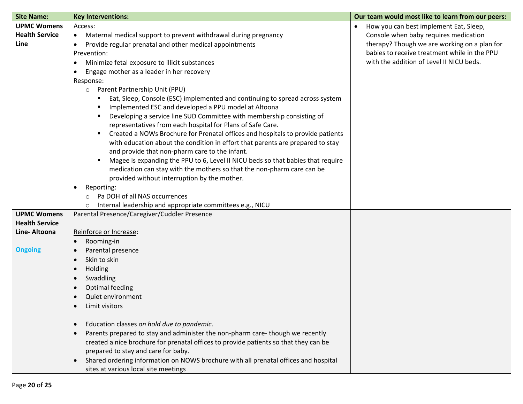| <b>Site Name:</b>     | <b>Key Interventions:</b>                                                                        | Our team would most like to learn from our peers: |
|-----------------------|--------------------------------------------------------------------------------------------------|---------------------------------------------------|
| <b>UPMC Womens</b>    | Access:                                                                                          | How you can best implement Eat, Sleep,            |
| <b>Health Service</b> | Maternal medical support to prevent withdrawal during pregnancy<br>$\bullet$                     | Console when baby requires medication             |
| Line                  | Provide regular prenatal and other medical appointments<br>$\bullet$                             | therapy? Though we are working on a plan for      |
|                       | Prevention:                                                                                      | babies to receive treatment while in the PPU      |
|                       | Minimize fetal exposure to illicit substances<br>٠                                               | with the addition of Level II NICU beds.          |
|                       | Engage mother as a leader in her recovery<br>٠                                                   |                                                   |
|                       | Response:                                                                                        |                                                   |
|                       | Parent Partnership Unit (PPU)<br>$\circ$                                                         |                                                   |
|                       | Eat, Sleep, Console (ESC) implemented and continuing to spread across system                     |                                                   |
|                       | Implemented ESC and developed a PPU model at Altoona                                             |                                                   |
|                       | Developing a service line SUD Committee with membership consisting of                            |                                                   |
|                       | representatives from each hospital for Plans of Safe Care.                                       |                                                   |
|                       | Created a NOWs Brochure for Prenatal offices and hospitals to provide patients                   |                                                   |
|                       | with education about the condition in effort that parents are prepared to stay                   |                                                   |
|                       | and provide that non-pharm care to the infant.                                                   |                                                   |
|                       | Magee is expanding the PPU to 6, Level II NICU beds so that babies that require                  |                                                   |
|                       | medication can stay with the mothers so that the non-pharm care can be                           |                                                   |
|                       | provided without interruption by the mother.                                                     |                                                   |
|                       | Reporting:<br>$\bullet$                                                                          |                                                   |
|                       | Pa DOH of all NAS occurrences                                                                    |                                                   |
|                       | Internal leadership and appropriate committees e.g., NICU<br>$\circ$                             |                                                   |
| <b>UPMC Womens</b>    | Parental Presence/Caregiver/Cuddler Presence                                                     |                                                   |
| <b>Health Service</b> |                                                                                                  |                                                   |
| Line-Altoona          | Reinforce or Increase:                                                                           |                                                   |
|                       | Rooming-in<br>$\bullet$                                                                          |                                                   |
| <b>Ongoing</b>        | Parental presence                                                                                |                                                   |
|                       | Skin to skin<br>$\bullet$                                                                        |                                                   |
|                       | Holding<br>$\bullet$                                                                             |                                                   |
|                       | Swaddling<br>$\bullet$                                                                           |                                                   |
|                       | Optimal feeding<br>$\bullet$                                                                     |                                                   |
|                       | Quiet environment<br>$\bullet$                                                                   |                                                   |
|                       | Limit visitors<br>$\bullet$                                                                      |                                                   |
|                       | Education classes on hold due to pandemic.<br>$\bullet$                                          |                                                   |
|                       | Parents prepared to stay and administer the non-pharm care-though we recently<br>$\bullet$       |                                                   |
|                       | created a nice brochure for prenatal offices to provide patients so that they can be             |                                                   |
|                       | prepared to stay and care for baby.                                                              |                                                   |
|                       | Shared ordering information on NOWS brochure with all prenatal offices and hospital<br>$\bullet$ |                                                   |
|                       | sites at various local site meetings                                                             |                                                   |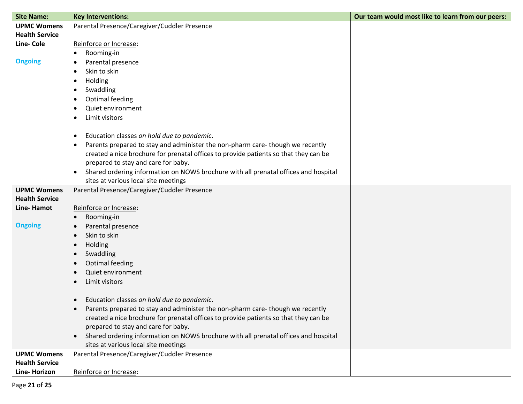| <b>Site Name:</b>     | <b>Key Interventions:</b>                                                                        | Our team would most like to learn from our peers: |
|-----------------------|--------------------------------------------------------------------------------------------------|---------------------------------------------------|
| <b>UPMC Womens</b>    | Parental Presence/Caregiver/Cuddler Presence                                                     |                                                   |
| <b>Health Service</b> |                                                                                                  |                                                   |
| <b>Line-Cole</b>      | Reinforce or Increase:                                                                           |                                                   |
|                       | Rooming-in<br>٠                                                                                  |                                                   |
| <b>Ongoing</b>        | Parental presence<br>٠                                                                           |                                                   |
|                       | Skin to skin                                                                                     |                                                   |
|                       | Holding<br>٠                                                                                     |                                                   |
|                       | Swaddling                                                                                        |                                                   |
|                       | Optimal feeding                                                                                  |                                                   |
|                       | Quiet environment<br>٠                                                                           |                                                   |
|                       | Limit visitors<br>٠                                                                              |                                                   |
|                       |                                                                                                  |                                                   |
|                       | Education classes on hold due to pandemic.<br>٠                                                  |                                                   |
|                       | Parents prepared to stay and administer the non-pharm care-though we recently<br>٠               |                                                   |
|                       | created a nice brochure for prenatal offices to provide patients so that they can be             |                                                   |
|                       | prepared to stay and care for baby.                                                              |                                                   |
|                       | Shared ordering information on NOWS brochure with all prenatal offices and hospital<br>$\bullet$ |                                                   |
|                       | sites at various local site meetings                                                             |                                                   |
| <b>UPMC Womens</b>    | Parental Presence/Caregiver/Cuddler Presence                                                     |                                                   |
| <b>Health Service</b> |                                                                                                  |                                                   |
| Line-Hamot            | Reinforce or Increase:                                                                           |                                                   |
|                       | Rooming-in<br>$\bullet$                                                                          |                                                   |
| <b>Ongoing</b>        | Parental presence<br>$\bullet$                                                                   |                                                   |
|                       | Skin to skin<br>$\bullet$                                                                        |                                                   |
|                       | Holding<br>$\bullet$                                                                             |                                                   |
|                       | Swaddling                                                                                        |                                                   |
|                       | Optimal feeding<br>$\bullet$                                                                     |                                                   |
|                       | Quiet environment                                                                                |                                                   |
|                       | Limit visitors<br>$\bullet$                                                                      |                                                   |
|                       | Education classes on hold due to pandemic.<br>$\bullet$                                          |                                                   |
|                       | Parents prepared to stay and administer the non-pharm care-though we recently                    |                                                   |
|                       | created a nice brochure for prenatal offices to provide patients so that they can be             |                                                   |
|                       | prepared to stay and care for baby.                                                              |                                                   |
|                       | Shared ordering information on NOWS brochure with all prenatal offices and hospital<br>$\bullet$ |                                                   |
|                       | sites at various local site meetings                                                             |                                                   |
| <b>UPMC Womens</b>    | Parental Presence/Caregiver/Cuddler Presence                                                     |                                                   |
| <b>Health Service</b> |                                                                                                  |                                                   |
| Line-Horizon          | Reinforce or Increase:                                                                           |                                                   |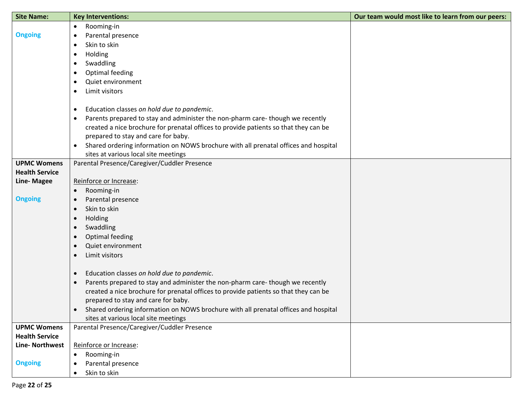| <b>Site Name:</b>     | <b>Key Interventions:</b>                                                                        | Our team would most like to learn from our peers: |
|-----------------------|--------------------------------------------------------------------------------------------------|---------------------------------------------------|
|                       | Rooming-in<br>$\bullet$                                                                          |                                                   |
| <b>Ongoing</b>        | Parental presence<br>$\bullet$                                                                   |                                                   |
|                       | Skin to skin<br>$\bullet$                                                                        |                                                   |
|                       | Holding<br>$\bullet$                                                                             |                                                   |
|                       | Swaddling<br>$\bullet$                                                                           |                                                   |
|                       | Optimal feeding<br>$\bullet$                                                                     |                                                   |
|                       | Quiet environment<br>$\bullet$                                                                   |                                                   |
|                       | Limit visitors<br>$\bullet$                                                                      |                                                   |
|                       |                                                                                                  |                                                   |
|                       | Education classes on hold due to pandemic.<br>$\bullet$                                          |                                                   |
|                       | Parents prepared to stay and administer the non-pharm care-though we recently<br>$\bullet$       |                                                   |
|                       | created a nice brochure for prenatal offices to provide patients so that they can be             |                                                   |
|                       | prepared to stay and care for baby.                                                              |                                                   |
|                       | Shared ordering information on NOWS brochure with all prenatal offices and hospital<br>$\bullet$ |                                                   |
|                       | sites at various local site meetings                                                             |                                                   |
| <b>UPMC Womens</b>    | Parental Presence/Caregiver/Cuddler Presence                                                     |                                                   |
| <b>Health Service</b> |                                                                                                  |                                                   |
| <b>Line-Magee</b>     | Reinforce or Increase:                                                                           |                                                   |
|                       | Rooming-in<br>$\bullet$                                                                          |                                                   |
| <b>Ongoing</b>        | Parental presence<br>$\bullet$                                                                   |                                                   |
|                       | Skin to skin<br>$\bullet$                                                                        |                                                   |
|                       | Holding<br>$\bullet$                                                                             |                                                   |
|                       | Swaddling<br>$\bullet$                                                                           |                                                   |
|                       | Optimal feeding<br>$\bullet$                                                                     |                                                   |
|                       | Quiet environment<br>$\bullet$                                                                   |                                                   |
|                       | Limit visitors<br>$\bullet$                                                                      |                                                   |
|                       | Education classes on hold due to pandemic.<br>$\bullet$                                          |                                                   |
|                       | Parents prepared to stay and administer the non-pharm care-though we recently<br>$\bullet$       |                                                   |
|                       | created a nice brochure for prenatal offices to provide patients so that they can be             |                                                   |
|                       | prepared to stay and care for baby.                                                              |                                                   |
|                       | Shared ordering information on NOWS brochure with all prenatal offices and hospital              |                                                   |
|                       | sites at various local site meetings                                                             |                                                   |
| <b>UPMC Womens</b>    | Parental Presence/Caregiver/Cuddler Presence                                                     |                                                   |
| <b>Health Service</b> |                                                                                                  |                                                   |
| <b>Line-Northwest</b> | Reinforce or Increase:                                                                           |                                                   |
|                       | Rooming-in<br>$\bullet$                                                                          |                                                   |
| <b>Ongoing</b>        | Parental presence<br>$\bullet$                                                                   |                                                   |
|                       | Skin to skin<br>$\bullet$                                                                        |                                                   |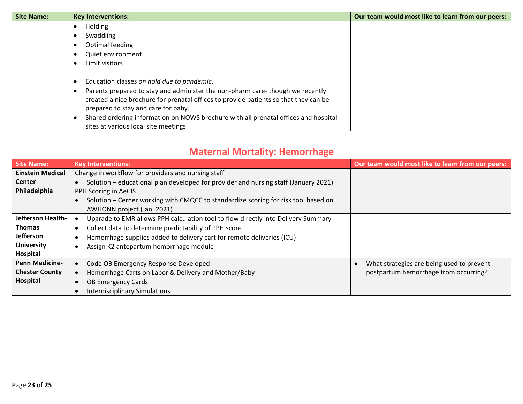| <b>Site Name:</b> | <b>Key Interventions:</b>                                                                                                                                                                                                 | Our team would most like to learn from our peers: |
|-------------------|---------------------------------------------------------------------------------------------------------------------------------------------------------------------------------------------------------------------------|---------------------------------------------------|
|                   | Holding                                                                                                                                                                                                                   |                                                   |
|                   | Swaddling<br>$\bullet$                                                                                                                                                                                                    |                                                   |
|                   | Optimal feeding<br>$\bullet$                                                                                                                                                                                              |                                                   |
|                   | Quiet environment<br>$\bullet$                                                                                                                                                                                            |                                                   |
|                   | Limit visitors<br>$\bullet$                                                                                                                                                                                               |                                                   |
|                   | Education classes on hold due to pandemic.<br>$\bullet$                                                                                                                                                                   |                                                   |
|                   | Parents prepared to stay and administer the non-pharm care-though we recently<br>$\bullet$<br>created a nice brochure for prenatal offices to provide patients so that they can be<br>prepared to stay and care for baby. |                                                   |
|                   | Shared ordering information on NOWS brochure with all prenatal offices and hospital<br>sites at various local site meetings                                                                                               |                                                   |

### **Maternal Mortality: Hemorrhage**

| Site Name:              | <b>Key Interventions:</b>                                                           | Our team would most like to learn from our peers: |
|-------------------------|-------------------------------------------------------------------------------------|---------------------------------------------------|
| <b>Einstein Medical</b> | Change in workflow for providers and nursing staff                                  |                                                   |
| <b>Center</b>           | Solution – educational plan developed for provider and nursing staff (January 2021) |                                                   |
| Philadelphia            | PPH Scoring in AeCIS                                                                |                                                   |
|                         | Solution - Cerner working with CMQCC to standardize scoring for risk tool based on  |                                                   |
|                         | AWHONN project (Jan. 2021)                                                          |                                                   |
| Jefferson Health-       | Upgrade to EMR allows PPH calculation tool to flow directly into Delivery Summary   |                                                   |
| <b>Thomas</b>           | Collect data to determine predictability of PPH score<br>٠                          |                                                   |
| <b>Jefferson</b>        | Hemorrhage supplies added to delivery cart for remote deliveries (ICU)<br>$\bullet$ |                                                   |
| <b>University</b>       | Assign K2 antepartum hemorrhage module                                              |                                                   |
| Hospital                |                                                                                     |                                                   |
| <b>Penn Medicine-</b>   | Code OB Emergency Response Developed                                                | What strategies are being used to prevent         |
| <b>Chester County</b>   | Hemorrhage Carts on Labor & Delivery and Mother/Baby                                | postpartum hemorrhage from occurring?             |
| Hospital                | OB Emergency Cards                                                                  |                                                   |
|                         | <b>Interdisciplinary Simulations</b>                                                |                                                   |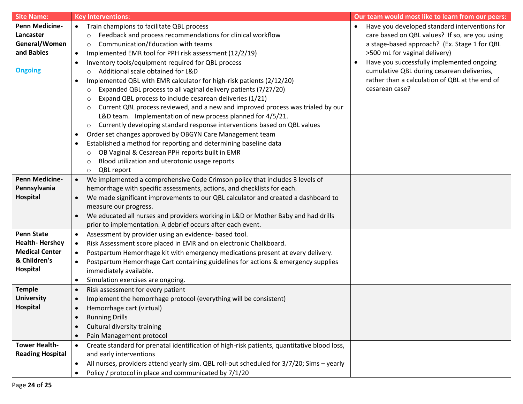| <b>Site Name:</b>       | <b>Key Interventions:</b>                                                                              | Our team would most like to learn from our peers: |
|-------------------------|--------------------------------------------------------------------------------------------------------|---------------------------------------------------|
| <b>Penn Medicine-</b>   | Train champions to facilitate QBL process                                                              | Have you developed standard interventions for     |
| Lancaster               | Feedback and process recommendations for clinical workflow<br>$\circ$                                  | care based on QBL values? If so, are you using    |
| General/Women           | Communication/Education with teams<br>$\circ$                                                          | a stage-based approach? (Ex. Stage 1 for QBL      |
| and Babies              | Implemented EMR tool for PPH risk assessment (12/2/19)<br>$\bullet$                                    | >500 mL for vaginal delivery)                     |
|                         | Inventory tools/equipment required for QBL process<br>$\bullet$                                        | Have you successfully implemented ongoing         |
| <b>Ongoing</b>          | Additional scale obtained for L&D<br>$\circ$                                                           | cumulative QBL during cesarean deliveries,        |
|                         | Implemented QBL with EMR calculator for high-risk patients (2/12/20)<br>٠                              | rather than a calculation of QBL at the end of    |
|                         | Expanded QBL process to all vaginal delivery patients (7/27/20)<br>$\circ$                             | cesarean case?                                    |
|                         | Expand QBL process to include cesarean deliveries (1/21)<br>$\circ$                                    |                                                   |
|                         | Current QBL process reviewed, and a new and improved process was trialed by our<br>$\circ$             |                                                   |
|                         | L&D team. Implementation of new process planned for 4/5/21.                                            |                                                   |
|                         | Currently developing standard response interventions based on QBL values<br>$\circ$                    |                                                   |
|                         | Order set changes approved by OBGYN Care Management team<br>$\bullet$                                  |                                                   |
|                         | Established a method for reporting and determining baseline data<br>$\bullet$                          |                                                   |
|                         | OB Vaginal & Cesarean PPH reports built in EMR<br>$\circ$                                              |                                                   |
|                         | Blood utilization and uterotonic usage reports<br>$\circ$                                              |                                                   |
|                         | QBL report<br>$\circ$                                                                                  |                                                   |
| <b>Penn Medicine-</b>   | We implemented a comprehensive Code Crimson policy that includes 3 levels of                           |                                                   |
| Pennsylvania            | hemorrhage with specific assessments, actions, and checklists for each.                                |                                                   |
| Hospital                | We made significant improvements to our QBL calculator and created a dashboard to                      |                                                   |
|                         | measure our progress.                                                                                  |                                                   |
|                         | We educated all nurses and providers working in L&D or Mother Baby and had drills<br>$\bullet$         |                                                   |
|                         | prior to implementation. A debrief occurs after each event.                                            |                                                   |
| <b>Penn State</b>       | Assessment by provider using an evidence- based tool.<br>$\bullet$                                     |                                                   |
| <b>Health-Hershey</b>   | Risk Assessment score placed in EMR and on electronic Chalkboard.<br>$\bullet$                         |                                                   |
| <b>Medical Center</b>   | Postpartum Hemorrhage kit with emergency medications present at every delivery.<br>$\bullet$           |                                                   |
| & Children's            | Postpartum Hemorrhage Cart containing guidelines for actions & emergency supplies                      |                                                   |
| Hospital                | immediately available.                                                                                 |                                                   |
|                         | Simulation exercises are ongoing.<br>$\bullet$                                                         |                                                   |
| <b>Temple</b>           | Risk assessment for every patient<br>$\bullet$                                                         |                                                   |
| <b>University</b>       | Implement the hemorrhage protocol (everything will be consistent)<br>$\bullet$                         |                                                   |
| <b>Hospital</b>         | Hemorrhage cart (virtual)                                                                              |                                                   |
|                         | <b>Running Drills</b><br>$\bullet$                                                                     |                                                   |
|                         | Cultural diversity training<br>$\bullet$                                                               |                                                   |
|                         | Pain Management protocol<br>$\bullet$                                                                  |                                                   |
| <b>Tower Health-</b>    | Create standard for prenatal identification of high-risk patients, quantitative blood loss,            |                                                   |
| <b>Reading Hospital</b> | and early interventions                                                                                |                                                   |
|                         | All nurses, providers attend yearly sim. QBL roll-out scheduled for 3/7/20; Sims - yearly<br>$\bullet$ |                                                   |
|                         | Policy / protocol in place and communicated by 7/1/20<br>$\bullet$                                     |                                                   |